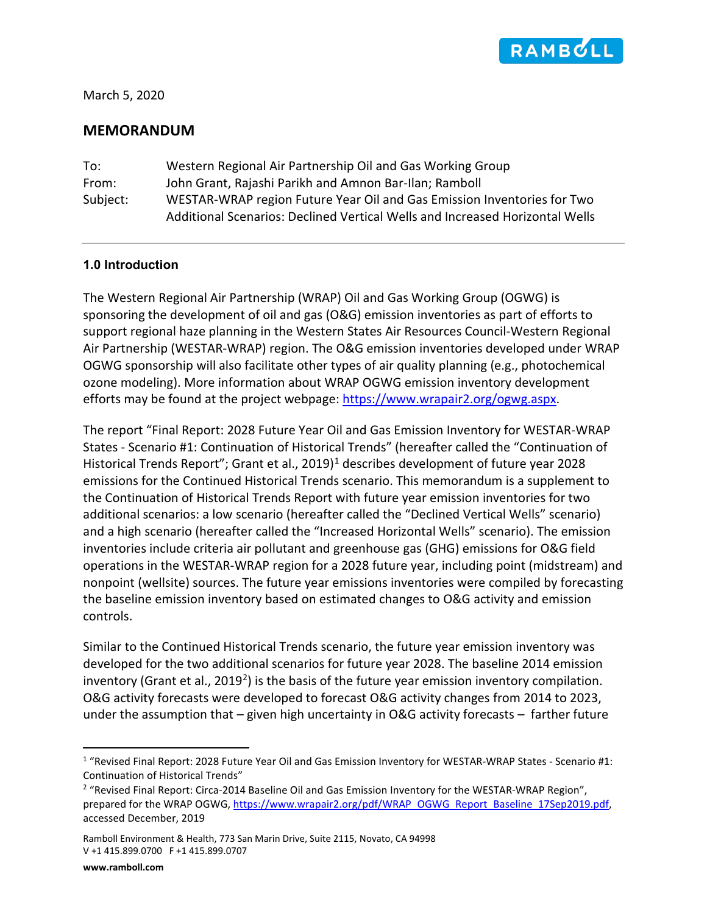

March 5, 2020

# **MEMORANDUM**

To: Western Regional Air Partnership Oil and Gas Working Group From: John Grant, Rajashi Parikh and Amnon Bar-Ilan; Ramboll Subject: WESTAR-WRAP region Future Year Oil and Gas Emission Inventories for Two Additional Scenarios: Declined Vertical Wells and Increased Horizontal Wells

### **1.0 Introduction**

The Western Regional Air Partnership (WRAP) Oil and Gas Working Group (OGWG) is sponsoring the development of oil and gas (O&G) emission inventories as part of efforts to support regional haze planning in the Western States Air Resources Council-Western Regional Air Partnership (WESTAR-WRAP) region. The O&G emission inventories developed under WRAP OGWG sponsorship will also facilitate other types of air quality planning (e.g., photochemical ozone modeling). More information about WRAP OGWG emission inventory development efforts may be found at the project webpage[: https://www.wrapair2.org/ogwg.aspx.](https://www.wrapair2.org/ogwg.aspx)

<span id="page-0-2"></span>The report "Final Report: 2028 Future Year Oil and Gas Emission Inventory for WESTAR-WRAP States - Scenario #1: Continuation of Historical Trends" (hereafter called the "Continuation of Historical Trends Report"; Grant et al., 20[1](#page-0-0)9)<sup>1</sup> describes development of future year 2028 emissions for the Continued Historical Trends scenario. This memorandum is a supplement to the Continuation of Historical Trends Report with future year emission inventories for two additional scenarios: a low scenario (hereafter called the "Declined Vertical Wells" scenario) and a high scenario (hereafter called the "Increased Horizontal Wells" scenario). The emission inventories include criteria air pollutant and greenhouse gas (GHG) emissions for O&G field operations in the WESTAR-WRAP region for a 2028 future year, including point (midstream) and nonpoint (wellsite) sources. The future year emissions inventories were compiled by forecasting the baseline emission inventory based on estimated changes to O&G activity and emission controls.

Similar to the Continued Historical Trends scenario, the future year emission inventory was developed for the two additional scenarios for future year 2028. The baseline 2014 emission inventory (Grant et al., [2](#page-0-1)019<sup>2</sup>) is the basis of the future year emission inventory compilation. O&G activity forecasts were developed to forecast O&G activity changes from 2014 to 2023, under the assumption that  $-$  given high uncertainty in O&G activity forecasts  $-$  farther future

<span id="page-0-0"></span><sup>1</sup> "Revised Final Report: 2028 Future Year Oil and Gas Emission Inventory for WESTAR-WRAP States - Scenario #1: Continuation of Historical Trends"

<span id="page-0-1"></span><sup>&</sup>lt;sup>2</sup> "Revised Final Report: Circa-2014 Baseline Oil and Gas Emission Inventory for the WESTAR-WRAP Region". prepared for the WRAP OGWG, [https://www.wrapair2.org/pdf/WRAP\\_OGWG\\_Report\\_Baseline\\_17Sep2019.pdf,](https://www.wrapair2.org/pdf/WRAP_OGWG_Report_Baseline_17Sep2019.pdf) accessed December, 2019

Ramboll Environment & Health, 773 San Marin Drive, Suite 2115, Novato, CA 94998 V +1 415.899.0700 F +1 415.899.0707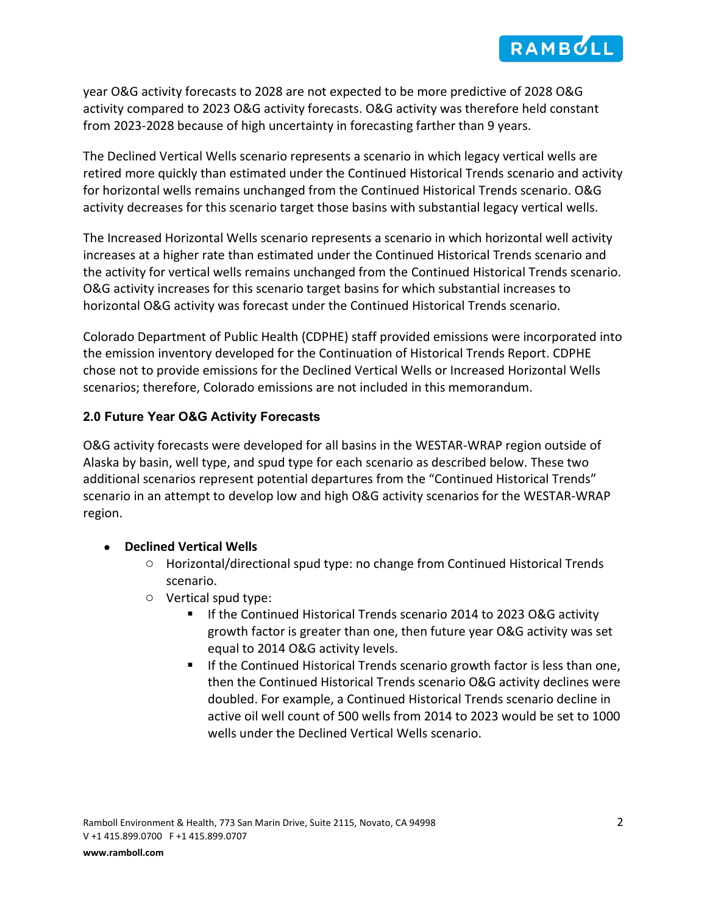

year O&G activity forecasts to 2028 are not expected to be more predictive of 2028 O&G activity compared to 2023 O&G activity forecasts. O&G activity was therefore held constant from 2023-2028 because of high uncertainty in forecasting farther than 9 years.

The Declined Vertical Wells scenario represents a scenario in which legacy vertical wells are retired more quickly than estimated under the Continued Historical Trends scenario and activity for horizontal wells remains unchanged from the Continued Historical Trends scenario. O&G activity decreases for this scenario target those basins with substantial legacy vertical wells.

The Increased Horizontal Wells scenario represents a scenario in which horizontal well activity increases at a higher rate than estimated under the Continued Historical Trends scenario and the activity for vertical wells remains unchanged from the Continued Historical Trends scenario. O&G activity increases for this scenario target basins for which substantial increases to horizontal O&G activity was forecast under the Continued Historical Trends scenario.

Colorado Department of Public Health (CDPHE) staff provided emissions were incorporated into the emission inventory developed for the Continuation of Historical Trends Report. CDPHE chose not to provide emissions for the Declined Vertical Wells or Increased Horizontal Wells scenarios; therefore, Colorado emissions are not included in this memorandum.

# **2.0 Future Year O&G Activity Forecasts**

O&G activity forecasts were developed for all basins in the WESTAR-WRAP region outside of Alaska by basin, well type, and spud type for each scenario as described below. These two additional scenarios represent potential departures from the "Continued Historical Trends" scenario in an attempt to develop low and high O&G activity scenarios for the WESTAR-WRAP region.

### • **Declined Vertical Wells**

- o Horizontal/directional spud type: no change from Continued Historical Trends scenario.
- o Vertical spud type:
	- If the Continued Historical Trends scenario 2014 to 2023 O&G activity growth factor is greater than one, then future year O&G activity was set equal to 2014 O&G activity levels.
	- **If the Continued Historical Trends scenario growth factor is less than one,** then the Continued Historical Trends scenario O&G activity declines were doubled. For example, a Continued Historical Trends scenario decline in active oil well count of 500 wells from 2014 to 2023 would be set to 1000 wells under the Declined Vertical Wells scenario.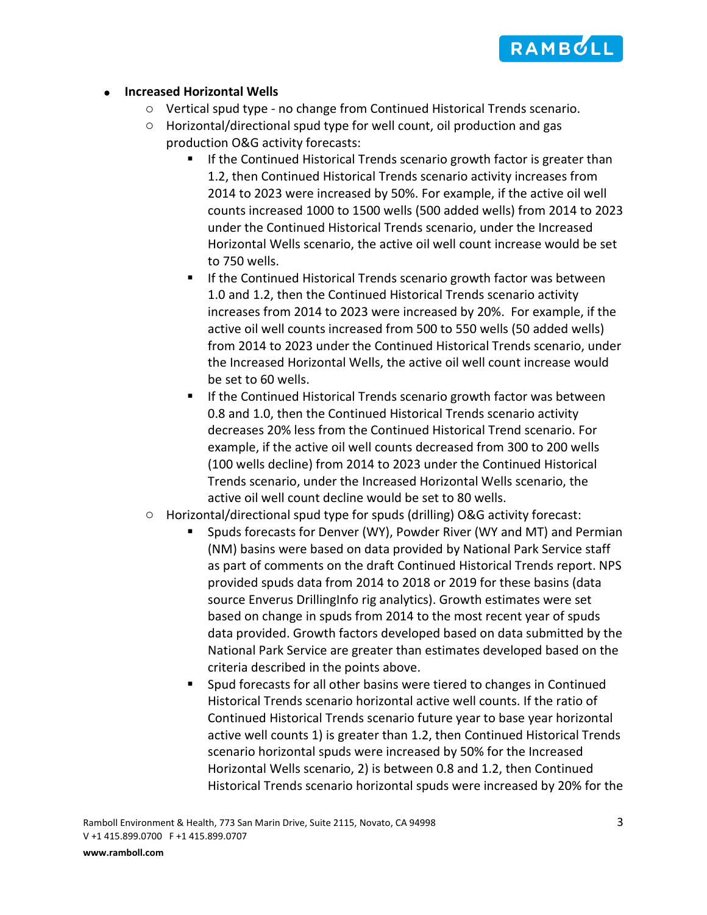

#### • **Increased Horizontal Wells**

- o Vertical spud type no change from Continued Historical Trends scenario.
- o Horizontal/directional spud type for well count, oil production and gas production O&G activity forecasts:
	- **If the Continued Historical Trends scenario growth factor is greater than** 1.2, then Continued Historical Trends scenario activity increases from 2014 to 2023 were increased by 50%. For example, if the active oil well counts increased 1000 to 1500 wells (500 added wells) from 2014 to 2023 under the Continued Historical Trends scenario, under the Increased Horizontal Wells scenario, the active oil well count increase would be set to 750 wells.
	- If the Continued Historical Trends scenario growth factor was between 1.0 and 1.2, then the Continued Historical Trends scenario activity increases from 2014 to 2023 were increased by 20%. For example, if the active oil well counts increased from 500 to 550 wells (50 added wells) from 2014 to 2023 under the Continued Historical Trends scenario, under the Increased Horizontal Wells, the active oil well count increase would be set to 60 wells.
	- If the Continued Historical Trends scenario growth factor was between 0.8 and 1.0, then the Continued Historical Trends scenario activity decreases 20% less from the Continued Historical Trend scenario. For example, if the active oil well counts decreased from 300 to 200 wells (100 wells decline) from 2014 to 2023 under the Continued Historical Trends scenario, under the Increased Horizontal Wells scenario, the active oil well count decline would be set to 80 wells.
- $\circ$  Horizontal/directional spud type for spuds (drilling) O&G activity forecast:
	- **S** Spuds forecasts for Denver (WY), Powder River (WY and MT) and Permian (NM) basins were based on data provided by National Park Service staff as part of comments on the draft Continued Historical Trends report. NPS provided spuds data from 2014 to 2018 or 2019 for these basins (data source Enverus DrillingInfo rig analytics). Growth estimates were set based on change in spuds from 2014 to the most recent year of spuds data provided. Growth factors developed based on data submitted by the National Park Service are greater than estimates developed based on the criteria described in the points above.
	- Spud forecasts for all other basins were tiered to changes in Continued Historical Trends scenario horizontal active well counts. If the ratio of Continued Historical Trends scenario future year to base year horizontal active well counts 1) is greater than 1.2, then Continued Historical Trends scenario horizontal spuds were increased by 50% for the Increased Horizontal Wells scenario, 2) is between 0.8 and 1.2, then Continued Historical Trends scenario horizontal spuds were increased by 20% for the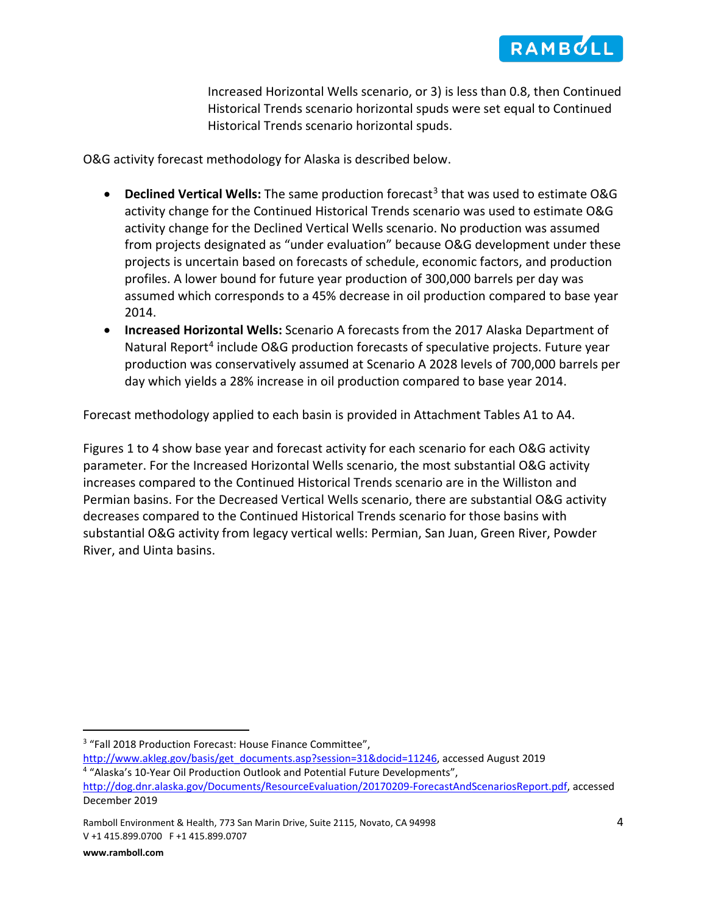

Increased Horizontal Wells scenario, or 3) is less than 0.8, then Continued Historical Trends scenario horizontal spuds were set equal to Continued Historical Trends scenario horizontal spuds.

O&G activity forecast methodology for Alaska is described below.

- **Declined Vertical Wells:** The same production forecast<sup>[3](#page-3-0)</sup> that was used to estimate O&G activity change for the Continued Historical Trends scenario was used to estimate O&G activity change for the Declined Vertical Wells scenario. No production was assumed from projects designated as "under evaluation" because O&G development under these projects is uncertain based on forecasts of schedule, economic factors, and production profiles. A lower bound for future year production of 300,000 barrels per day was assumed which corresponds to a 45% decrease in oil production compared to base year 2014.
- **Increased Horizontal Wells:** Scenario A forecasts from the 2017 Alaska Department of Natural Report<sup>[4](#page-3-1)</sup> include O&G production forecasts of speculative projects. Future year production was conservatively assumed at Scenario A 2028 levels of 700,000 barrels per day which yields a 28% increase in oil production compared to base year 2014.

Forecast methodology applied to each basin is provided in Attachment Tables A1 to A4.

Figures 1 to 4 show base year and forecast activity for each scenario for each O&G activity parameter. For the Increased Horizontal Wells scenario, the most substantial O&G activity increases compared to the Continued Historical Trends scenario are in the Williston and Permian basins. For the Decreased Vertical Wells scenario, there are substantial O&G activity decreases compared to the Continued Historical Trends scenario for those basins with substantial O&G activity from legacy vertical wells: Permian, San Juan, Green River, Powder River, and Uinta basins.

<span id="page-3-0"></span><sup>&</sup>lt;sup>3</sup> "Fall 2018 Production Forecast: House Finance Committee",

<span id="page-3-1"></span>[http://www.akleg.gov/basis/get\\_documents.asp?session=31&docid=11246,](http://www.akleg.gov/basis/get_documents.asp?session=31&docid=11246) accessed August 2019 4<br><sup>4</sup> "Alaska's 10-Year Oil Production Outlook and Potential Future Developments",

[http://dog.dnr.alaska.gov/Documents/ResourceEvaluation/20170209-ForecastAndScenariosReport.pdf,](http://dog.dnr.alaska.gov/Documents/ResourceEvaluation/20170209-ForecastAndScenariosReport.pdf) accessed December 2019

Ramboll Environment & Health, 773 San Marin Drive, Suite 2115, Novato, CA 94998 4 V +1 415.899.0700 F +1 415.899.0707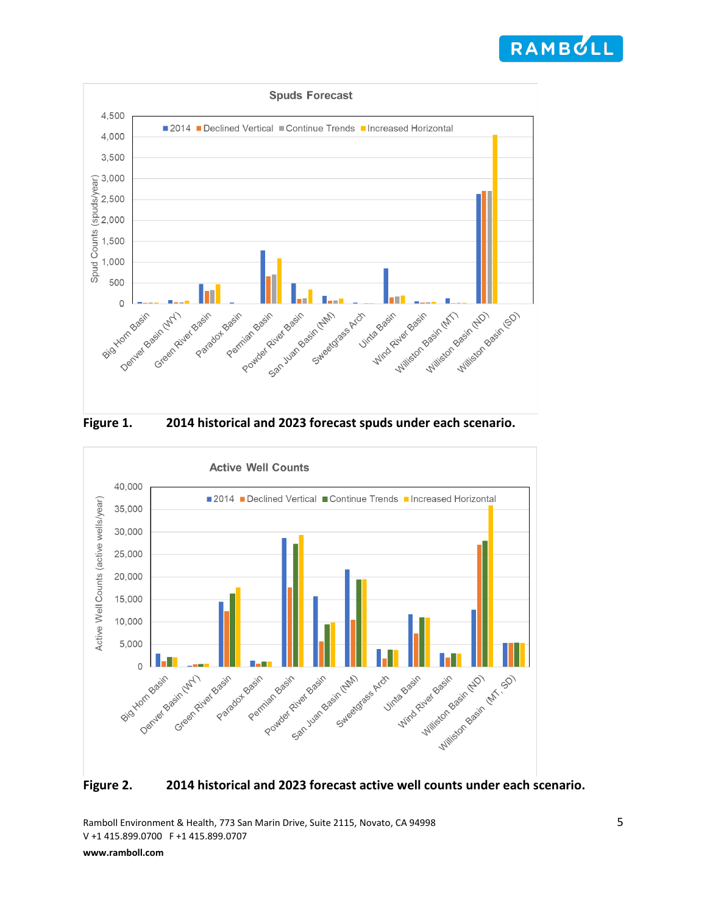







**Figure 2. 2014 historical and 2023 forecast active well counts under each scenario.**

Ramboll Environment & Health, 773 San Marin Drive, Suite 2115, Novato, CA 94998 5 V +1 415.899.0700 F +1 415.899.0707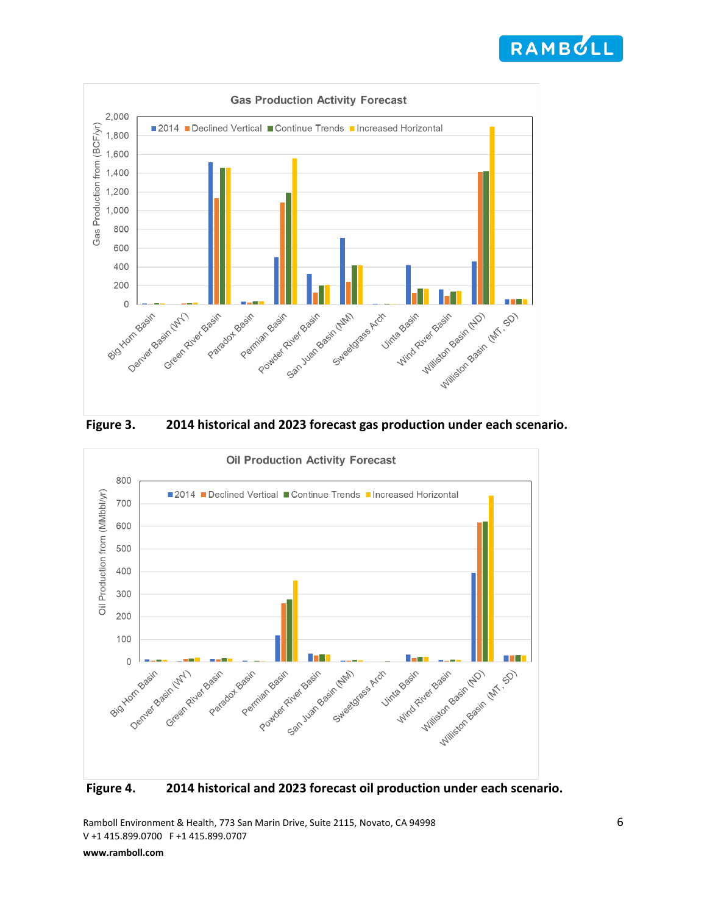







**Figure 4. 2014 historical and 2023 forecast oil production under each scenario.**

Ramboll Environment & Health, 773 San Marin Drive, Suite 2115, Novato, CA 94998 6 V +1 415.899.0700 F +1 415.899.0707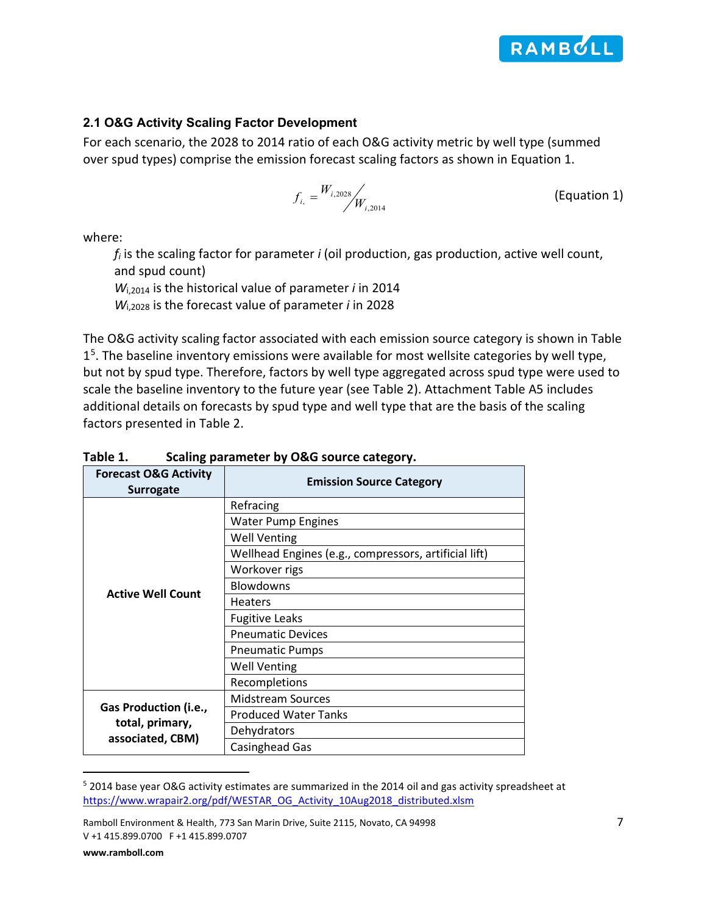

### **2.1 O&G Activity Scaling Factor Development**

For each scenario, the 2028 to 2014 ratio of each O&G activity metric by well type (summed over spud types) comprise the emission forecast scaling factors as shown in Equation 1.

$$
f_{i,} = \frac{W_{i,2028}}{W_{i,2014}}
$$
 (Equation 1)

where:

*fi* is the scaling factor for parameter *i* (oil production, gas production, active well count, and spud count)

*W*i,2014 is the historical value of parameter *i* in 2014

*W*i,2028 is the forecast value of parameter *i* in 2028

The O&G activity scaling factor associated with each emission source category is shown in Table  $1<sup>5</sup>$ . The baseline inventory emissions were available for most wellsite categories by well type, but not by spud type. Therefore, factors by well type aggregated across spud type were used to scale the baseline inventory to the future year (see Table 2). Attachment Table A5 includes additional details on forecasts by spud type and well type that are the basis of the scaling factors presented in Table 2.

| <b>Forecast O&amp;G Activity</b><br><b>Surrogate</b> | <b>Emission Source Category</b>                       |
|------------------------------------------------------|-------------------------------------------------------|
|                                                      | Refracing                                             |
|                                                      | <b>Water Pump Engines</b>                             |
|                                                      | <b>Well Venting</b>                                   |
|                                                      | Wellhead Engines (e.g., compressors, artificial lift) |
|                                                      | Workover rigs                                         |
| <b>Active Well Count</b>                             | <b>Blowdowns</b>                                      |
|                                                      | <b>Heaters</b>                                        |
|                                                      | <b>Fugitive Leaks</b>                                 |
|                                                      | <b>Pneumatic Devices</b>                              |
|                                                      | <b>Pneumatic Pumps</b>                                |
|                                                      | <b>Well Venting</b>                                   |
|                                                      | Recompletions                                         |
|                                                      | <b>Midstream Sources</b>                              |
| Gas Production (i.e.,                                | <b>Produced Water Tanks</b>                           |
| total, primary,<br>associated, CBM)                  | Dehydrators                                           |
|                                                      | <b>Casinghead Gas</b>                                 |

## **Table 1. Scaling parameter by O&G source category.**

<span id="page-6-0"></span><sup>5</sup> 2014 base year O&G activity estimates are summarized in the 2014 oil and gas activity spreadsheet at [https://www.wrapair2.org/pdf/WESTAR\\_OG\\_Activity\\_10Aug2018\\_distributed.xlsm](https://www.wrapair2.org/pdf/WESTAR_OG_Activity_10Aug2018_distributed.xlsm)

Ramboll Environment & Health, 773 San Marin Drive, Suite 2115, Novato, CA 94998 7 V +1 415.899.0700 F +1 415.899.0707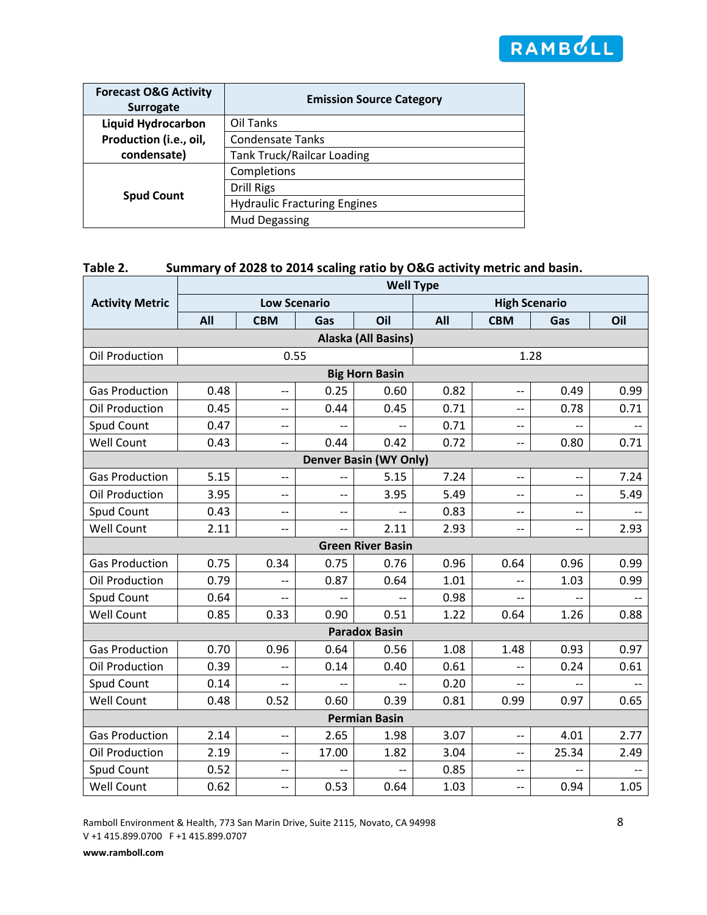

| <b>Forecast O&amp;G Activity</b><br><b>Surrogate</b> | <b>Emission Source Category</b>     |  |  |  |  |  |
|------------------------------------------------------|-------------------------------------|--|--|--|--|--|
| <b>Liquid Hydrocarbon</b>                            | Oil Tanks                           |  |  |  |  |  |
| Production (i.e., oil,                               | <b>Condensate Tanks</b>             |  |  |  |  |  |
| condensate)                                          | <b>Tank Truck/Railcar Loading</b>   |  |  |  |  |  |
|                                                      | Completions                         |  |  |  |  |  |
|                                                      | <b>Drill Rigs</b>                   |  |  |  |  |  |
| <b>Spud Count</b>                                    | <b>Hydraulic Fracturing Engines</b> |  |  |  |  |  |
|                                                      | <b>Mud Degassing</b>                |  |  |  |  |  |

# **Table 2. Summary of 2028 to 2014 scaling ratio by O&G activity metric and basin.**

|                        | <b>Well Type</b>      |                          |                          |                               |      |                          |                          |                          |  |
|------------------------|-----------------------|--------------------------|--------------------------|-------------------------------|------|--------------------------|--------------------------|--------------------------|--|
| <b>Activity Metric</b> |                       | <b>Low Scenario</b>      |                          |                               |      |                          | <b>High Scenario</b>     |                          |  |
|                        | All                   | <b>CBM</b>               | Gas                      | Oil                           | All  | <b>CBM</b>               | Gas                      | Oil                      |  |
| Alaska (All Basins)    |                       |                          |                          |                               |      |                          |                          |                          |  |
| Oil Production         |                       | 0.55                     |                          |                               |      |                          | 1.28                     |                          |  |
|                        | <b>Big Horn Basin</b> |                          |                          |                               |      |                          |                          |                          |  |
| <b>Gas Production</b>  | 0.48                  | --                       | 0.25                     | 0.60                          | 0.82 | --                       | 0.49                     | 0.99                     |  |
| Oil Production         | 0.45                  | --                       | 0.44                     | 0.45                          | 0.71 | --                       | 0.78                     | 0.71                     |  |
| Spud Count             | 0.47                  | $-$                      |                          |                               | 0.71 | --                       |                          |                          |  |
| <b>Well Count</b>      | 0.43                  | --                       | 0.44                     | 0.42                          | 0.72 | --                       | 0.80                     | 0.71                     |  |
|                        |                       |                          |                          | <b>Denver Basin (WY Only)</b> |      |                          |                          |                          |  |
| <b>Gas Production</b>  | 5.15                  | --                       | --                       | 5.15                          | 7.24 | --                       | $-$                      | 7.24                     |  |
| Oil Production         | 3.95                  | --                       | --                       | 3.95                          | 5.49 | --                       | --                       | 5.49                     |  |
| Spud Count             | 0.43                  | --                       | --                       | $\overline{\phantom{a}}$      | 0.83 | $-$                      | $\overline{\phantom{a}}$ |                          |  |
| <b>Well Count</b>      | 2.11                  | --                       | $\overline{\phantom{a}}$ | 2.11                          | 2.93 | --                       | $\overline{\phantom{a}}$ | 2.93                     |  |
|                        |                       |                          |                          | <b>Green River Basin</b>      |      |                          |                          |                          |  |
| <b>Gas Production</b>  | 0.75                  | 0.34                     | 0.75                     | 0.76                          | 0.96 | 0.64                     | 0.96                     | 0.99                     |  |
| Oil Production         | 0.79                  | $\overline{\phantom{a}}$ | 0.87                     | 0.64                          | 1.01 | $\overline{a}$           | 1.03                     | 0.99                     |  |
| Spud Count             | 0.64                  | $-$                      | $-$                      | $\overline{\phantom{a}}$      | 0.98 |                          |                          | $-$                      |  |
| <b>Well Count</b>      | 0.85                  | 0.33                     | 0.90                     | 0.51                          | 1.22 | 0.64                     | 1.26                     | 0.88                     |  |
|                        |                       |                          |                          | <b>Paradox Basin</b>          |      |                          |                          |                          |  |
| <b>Gas Production</b>  | 0.70                  | 0.96                     | 0.64                     | 0.56                          | 1.08 | 1.48                     | 0.93                     | 0.97                     |  |
| Oil Production         | 0.39                  | $-$                      | 0.14                     | 0.40                          | 0.61 | $-$                      | 0.24                     | 0.61                     |  |
| Spud Count             | 0.14                  | $-$                      | $-$                      | $-$                           | 0.20 | $-$                      | $-$                      | $\overline{\phantom{a}}$ |  |
| <b>Well Count</b>      | 0.48                  | 0.52                     | 0.60                     | 0.39                          | 0.81 | 0.99                     | 0.97                     | 0.65                     |  |
|                        |                       |                          |                          | <b>Permian Basin</b>          |      |                          |                          |                          |  |
| <b>Gas Production</b>  | 2.14                  | --                       | 2.65                     | 1.98                          | 3.07 | $-$                      | 4.01                     | 2.77                     |  |
| Oil Production         | 2.19                  | --                       | 17.00                    | 1.82                          | 3.04 | $\overline{\phantom{a}}$ | 25.34                    | 2.49                     |  |
| Spud Count             | 0.52                  | --                       |                          |                               | 0.85 | --                       |                          |                          |  |
| <b>Well Count</b>      | 0.62                  | --                       | 0.53                     | 0.64                          | 1.03 | $-$                      | 0.94                     | 1.05                     |  |

Ramboll Environment & Health, 773 San Marin Drive, Suite 2115, Novato, CA 94998 V +1 415.899.0700 F +1 415.899.0707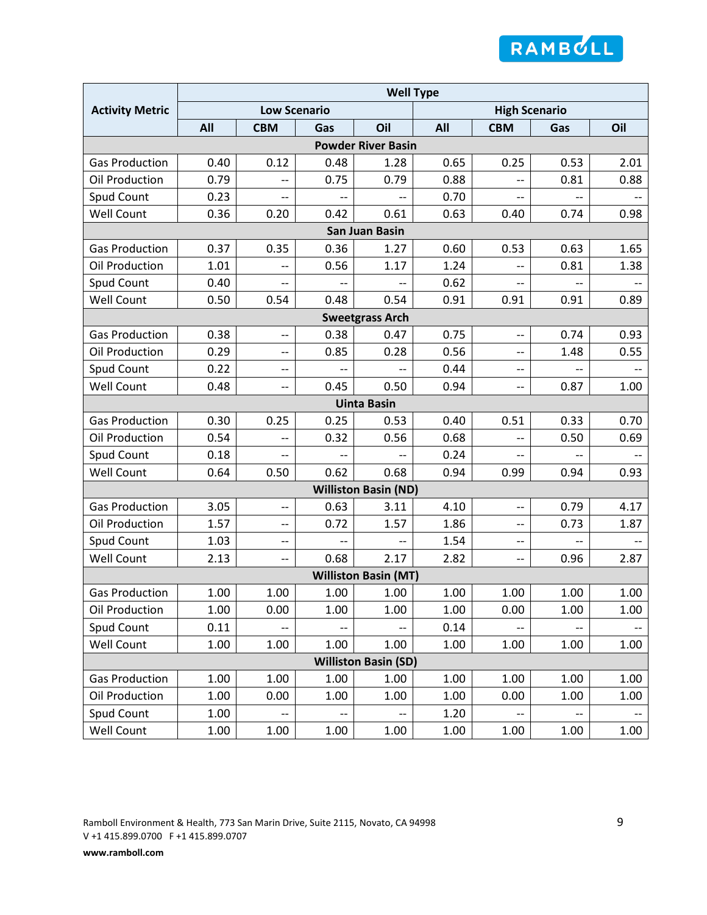

|                        | <b>Well Type</b>    |                          |                          |                             |      |                          |                          |      |
|------------------------|---------------------|--------------------------|--------------------------|-----------------------------|------|--------------------------|--------------------------|------|
| <b>Activity Metric</b> | <b>Low Scenario</b> |                          |                          |                             |      | <b>High Scenario</b>     |                          |      |
|                        | All                 | <b>CBM</b>               | Gas                      | Oil                         | All  | <b>CBM</b>               | Gas                      | Oil  |
|                        |                     |                          |                          | <b>Powder River Basin</b>   |      |                          |                          |      |
| <b>Gas Production</b>  | 0.40                | 0.12                     | 0.48                     | 1.28                        | 0.65 | 0.25                     | 0.53                     | 2.01 |
| Oil Production         | 0.79                | $-$                      | 0.75                     | 0.79                        | 0.88 |                          | 0.81                     | 0.88 |
| Spud Count             | 0.23                | $-$                      | $-$                      | $\overline{\phantom{a}}$    | 0.70 | $\overline{\phantom{a}}$ | $\overline{\phantom{a}}$ | --   |
| <b>Well Count</b>      | 0.36                | 0.20                     | 0.42                     | 0.61                        | 0.63 | 0.40                     | 0.74                     | 0.98 |
|                        |                     |                          |                          | <b>San Juan Basin</b>       |      |                          |                          |      |
| <b>Gas Production</b>  | 0.37                | 0.35                     | 0.36                     | 1.27                        | 0.60 | 0.53                     | 0.63                     | 1.65 |
| Oil Production         | 1.01                |                          | 0.56                     | 1.17                        | 1.24 |                          | 0.81                     | 1.38 |
| Spud Count             | 0.40                |                          |                          |                             | 0.62 |                          |                          |      |
| <b>Well Count</b>      | 0.50                | 0.54                     | 0.48                     | 0.54                        | 0.91 | 0.91                     | 0.91                     | 0.89 |
|                        |                     |                          |                          | <b>Sweetgrass Arch</b>      |      |                          |                          |      |
| <b>Gas Production</b>  | 0.38                | $-$                      | 0.38                     | 0.47                        | 0.75 | $-$                      | 0.74                     | 0.93 |
| Oil Production         | 0.29                | --                       | 0.85                     | 0.28                        | 0.56 | --                       | 1.48                     | 0.55 |
| Spud Count             | 0.22                | --                       | $\overline{\phantom{a}}$ | $\overline{\phantom{a}}$    | 0.44 | --                       | $\overline{\phantom{a}}$ |      |
| <b>Well Count</b>      | 0.48                | --                       | 0.45                     | 0.50                        | 0.94 | $-$                      | 0.87                     | 1.00 |
|                        |                     |                          |                          | <b>Uinta Basin</b>          |      |                          |                          |      |
| <b>Gas Production</b>  | 0.30                | 0.25                     | 0.25                     | 0.53                        | 0.40 | 0.51                     | 0.33                     | 0.70 |
| Oil Production         | 0.54                | $\overline{\phantom{a}}$ | 0.32                     | 0.56                        | 0.68 | $-$                      | 0.50                     | 0.69 |
| Spud Count             | 0.18                | $-$                      | $\overline{\phantom{a}}$ | $\overline{\phantom{a}}$    | 0.24 | $-$                      |                          |      |
| <b>Well Count</b>      | 0.64                | 0.50                     | 0.62                     | 0.68                        | 0.94 | 0.99                     | 0.94                     | 0.93 |
|                        |                     |                          |                          | <b>Williston Basin (ND)</b> |      |                          |                          |      |
| <b>Gas Production</b>  | 3.05                | $\overline{\phantom{a}}$ | 0.63                     | 3.11                        | 4.10 | $\overline{\phantom{a}}$ | 0.79                     | 4.17 |
| Oil Production         | 1.57                | --                       | 0.72                     | 1.57                        | 1.86 | --                       | 0.73                     | 1.87 |
| Spud Count             | 1.03                | $-$                      |                          | --                          | 1.54 | $-$                      |                          |      |
| <b>Well Count</b>      | 2.13                | --                       | 0.68                     | 2.17                        | 2.82 | --                       | 0.96                     | 2.87 |
|                        |                     |                          |                          | <b>Williston Basin (MT)</b> |      |                          |                          |      |
| <b>Gas Production</b>  | 1.00                | 1.00                     | 1.00                     | 1.00                        | 1.00 | 1.00                     | 1.00                     | 1.00 |
| Oil Production         | 1.00                | 0.00                     | 1.00                     | 1.00                        | 1.00 | 0.00                     | 1.00                     | 1.00 |
| Spud Count             | 0.11                | $\overline{\phantom{a}}$ | $\overline{\phantom{a}}$ | $\overline{\phantom{a}}$    | 0.14 | $-$                      | $-$                      |      |
| Well Count             | 1.00                | 1.00                     | 1.00                     | 1.00                        | 1.00 | 1.00                     | 1.00                     | 1.00 |
|                        |                     |                          |                          | <b>Williston Basin (SD)</b> |      |                          |                          |      |
| <b>Gas Production</b>  | 1.00                | 1.00                     | 1.00                     | 1.00                        | 1.00 | 1.00                     | 1.00                     | 1.00 |
| Oil Production         | 1.00                | 0.00                     | 1.00                     | 1.00                        | 1.00 | 0.00                     | 1.00                     | 1.00 |
| <b>Spud Count</b>      | 1.00                | $\overline{\phantom{a}}$ | $\overline{\phantom{a}}$ | $\overline{\phantom{a}}$    | 1.20 |                          | $\overline{\phantom{a}}$ |      |
| <b>Well Count</b>      | 1.00                | 1.00                     | 1.00                     | 1.00                        | 1.00 | 1.00                     | 1.00                     | 1.00 |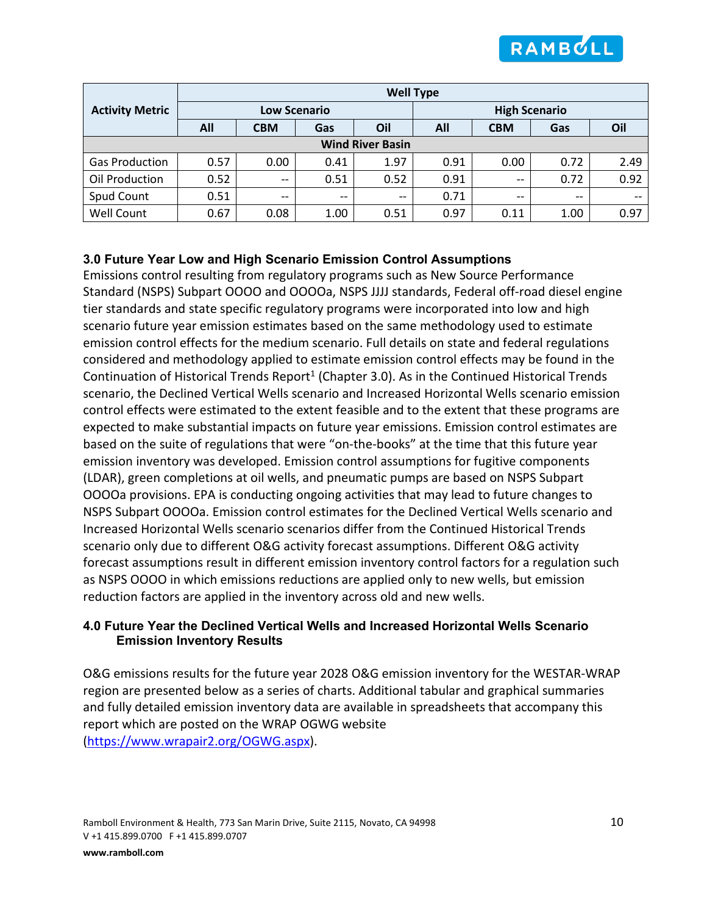

|                         | <b>Well Type</b>    |                          |                          |       |                      |            |       |      |  |
|-------------------------|---------------------|--------------------------|--------------------------|-------|----------------------|------------|-------|------|--|
| <b>Activity Metric</b>  | <b>Low Scenario</b> |                          |                          |       | <b>High Scenario</b> |            |       |      |  |
|                         | All                 | <b>CBM</b>               | Gas                      | Oil   | All                  | <b>CBM</b> | Gas   | Oil  |  |
| <b>Wind River Basin</b> |                     |                          |                          |       |                      |            |       |      |  |
| <b>Gas Production</b>   | 0.57                | 0.00                     | 0.41                     | 1.97  | 0.91                 | 0.00       | 0.72  | 2.49 |  |
| Oil Production          | 0.52                | $\overline{\phantom{m}}$ | 0.51                     | 0.52  | 0.91                 | $- -$      | 0.72  | 0.92 |  |
| Spud Count              | 0.51                | $\overline{\phantom{m}}$ | $\overline{\phantom{m}}$ | $- -$ | 0.71                 | $- -$      | $- -$ | --   |  |
| Well Count              | 0.67                | 0.08                     | 1.00                     | 0.51  | 0.97                 | 0.11       | 1.00  | 0.97 |  |

### **3.0 Future Year Low and High Scenario Emission Control Assumptions**

Emissions control resulting from regulatory programs such as New Source Performance Standard (NSPS) Subpart OOOO and OOOOa, NSPS JJJJ standards, Federal off-road diesel engine tier standards and state specific regulatory programs were incorporated into low and high scenario future year emission estimates based on the same methodology used to estimate emission control effects for the medium scenario. Full details on state and federal regulations considered and methodology applied to estimate emission control effects may be found in the Continuation of Historical Trends Report<sup>1</sup> (Chapter 3.0). As in the Continued Historical Trends scenario, the Declined Vertical Wells scenario and Increased Horizontal Wells scenario emission control effects were estimated to the extent feasible and to the extent that these programs are expected to make substantial impacts on future year emissions. Emission control estimates are based on the suite of regulations that were "on-the-books" at the time that this future year emission inventory was developed. Emission control assumptions for fugitive components (LDAR), green completions at oil wells, and pneumatic pumps are based on NSPS Subpart OOOOa provisions. EPA is conducting ongoing activities that may lead to future changes to NSPS Subpart OOOOa. Emission control estimates for the Declined Vertical Wells scenario and Increased Horizontal Wells scenario scenarios differ from the Continued Historical Trends scenario only due to different O&G activity forecast assumptions. Different O&G activity forecast assumptions result in different emission inventory control factors for a regulation such as NSPS OOOO in which emissions reductions are applied only to new wells, but emission reduction factors are applied in the inventory across old and new wells.

### **4.0 Future Year the Declined Vertical Wells and Increased Horizontal Wells Scenario Emission Inventory Results**

O&G emissions results for the future year 2028 O&G emission inventory for the WESTAR-WRAP region are presented below as a series of charts. Additional tabular and graphical summaries and fully detailed emission inventory data are available in spreadsheets that accompany this report which are posted on the WRAP OGWG website [\(https://www.wrapair2.org/OGWG.aspx\)](https://www.wrapair2.org/OGWG.aspx).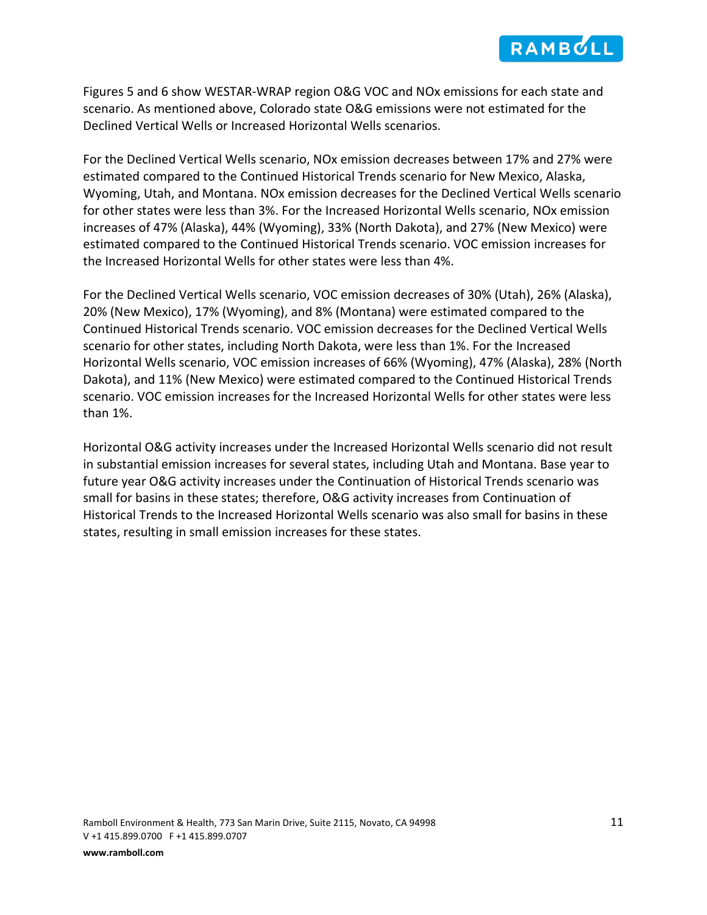

Figures 5 and 6 show WESTAR-WRAP region O&G VOC and NOx emissions for each state and scenario. As mentioned above, Colorado state O&G emissions were not estimated for the Declined Vertical Wells or Increased Horizontal Wells scenarios.

For the Declined Vertical Wells scenario, NOx emission decreases between 17% and 27% were estimated compared to the Continued Historical Trends scenario for New Mexico, Alaska, Wyoming, Utah, and Montana. NOx emission decreases for the Declined Vertical Wells scenario for other states were less than 3%. For the Increased Horizontal Wells scenario, NOx emission increases of 47% (Alaska), 44% (Wyoming), 33% (North Dakota), and 27% (New Mexico) were estimated compared to the Continued Historical Trends scenario. VOC emission increases for the Increased Horizontal Wells for other states were less than 4%.

For the Declined Vertical Wells scenario, VOC emission decreases of 30% (Utah), 26% (Alaska), 20% (New Mexico), 17% (Wyoming), and 8% (Montana) were estimated compared to the Continued Historical Trends scenario. VOC emission decreases for the Declined Vertical Wells scenario for other states, including North Dakota, were less than 1%. For the Increased Horizontal Wells scenario, VOC emission increases of 66% (Wyoming), 47% (Alaska), 28% (North Dakota), and 11% (New Mexico) were estimated compared to the Continued Historical Trends scenario. VOC emission increases for the Increased Horizontal Wells for other states were less than 1%.

Horizontal O&G activity increases under the Increased Horizontal Wells scenario did not result in substantial emission increases for several states, including Utah and Montana. Base year to future year O&G activity increases under the Continuation of Historical Trends scenario was small for basins in these states; therefore, O&G activity increases from Continuation of Historical Trends to the Increased Horizontal Wells scenario was also small for basins in these states, resulting in small emission increases for these states.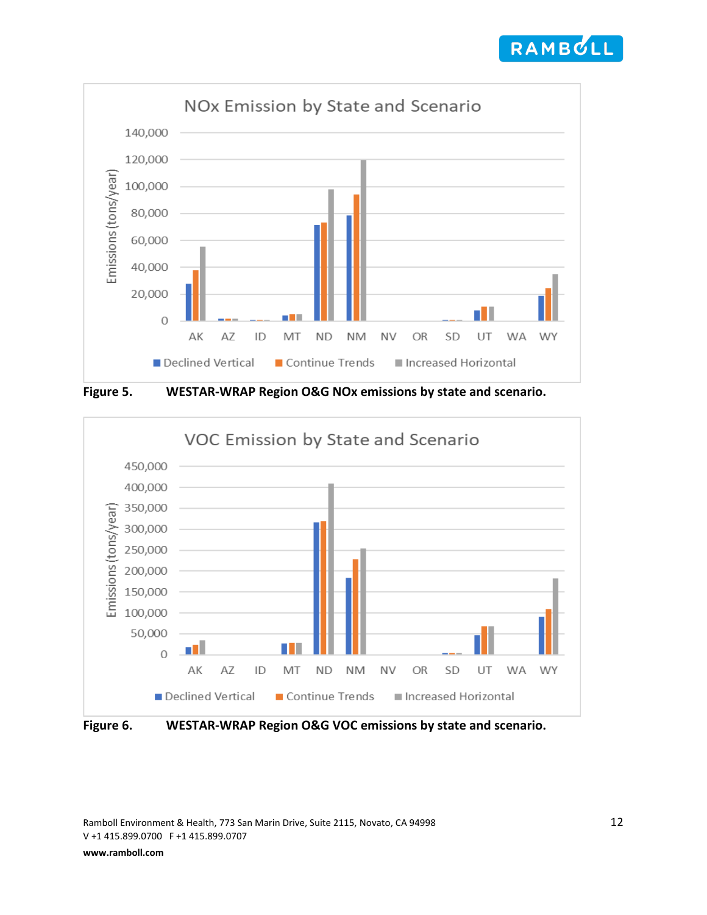



**Figure 5. WESTAR-WRAP Region O&G NOx emissions by state and scenario.**



**Figure 6. WESTAR-WRAP Region O&G VOC emissions by state and scenario.**

Ramboll Environment & Health, 773 San Marin Drive, Suite 2115, Novato, CA 94998 12 V +1 415.899.0700 F +1 415.899.0707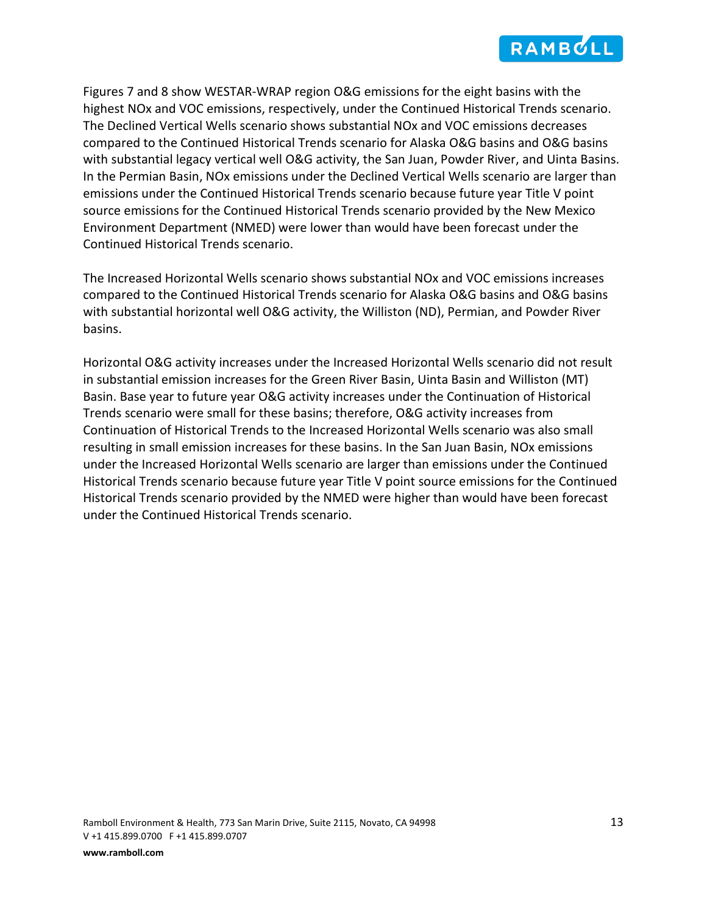

Figures 7 and 8 show WESTAR-WRAP region O&G emissions for the eight basins with the highest NOx and VOC emissions, respectively, under the Continued Historical Trends scenario. The Declined Vertical Wells scenario shows substantial NOx and VOC emissions decreases compared to the Continued Historical Trends scenario for Alaska O&G basins and O&G basins with substantial legacy vertical well O&G activity, the San Juan, Powder River, and Uinta Basins. In the Permian Basin, NOx emissions under the Declined Vertical Wells scenario are larger than emissions under the Continued Historical Trends scenario because future year Title V point source emissions for the Continued Historical Trends scenario provided by the New Mexico Environment Department (NMED) were lower than would have been forecast under the Continued Historical Trends scenario.

The Increased Horizontal Wells scenario shows substantial NOx and VOC emissions increases compared to the Continued Historical Trends scenario for Alaska O&G basins and O&G basins with substantial horizontal well O&G activity, the Williston (ND), Permian, and Powder River basins.

Horizontal O&G activity increases under the Increased Horizontal Wells scenario did not result in substantial emission increases for the Green River Basin, Uinta Basin and Williston (MT) Basin. Base year to future year O&G activity increases under the Continuation of Historical Trends scenario were small for these basins; therefore, O&G activity increases from Continuation of Historical Trends to the Increased Horizontal Wells scenario was also small resulting in small emission increases for these basins. In the San Juan Basin, NOx emissions under the Increased Horizontal Wells scenario are larger than emissions under the Continued Historical Trends scenario because future year Title V point source emissions for the Continued Historical Trends scenario provided by the NMED were higher than would have been forecast under the Continued Historical Trends scenario.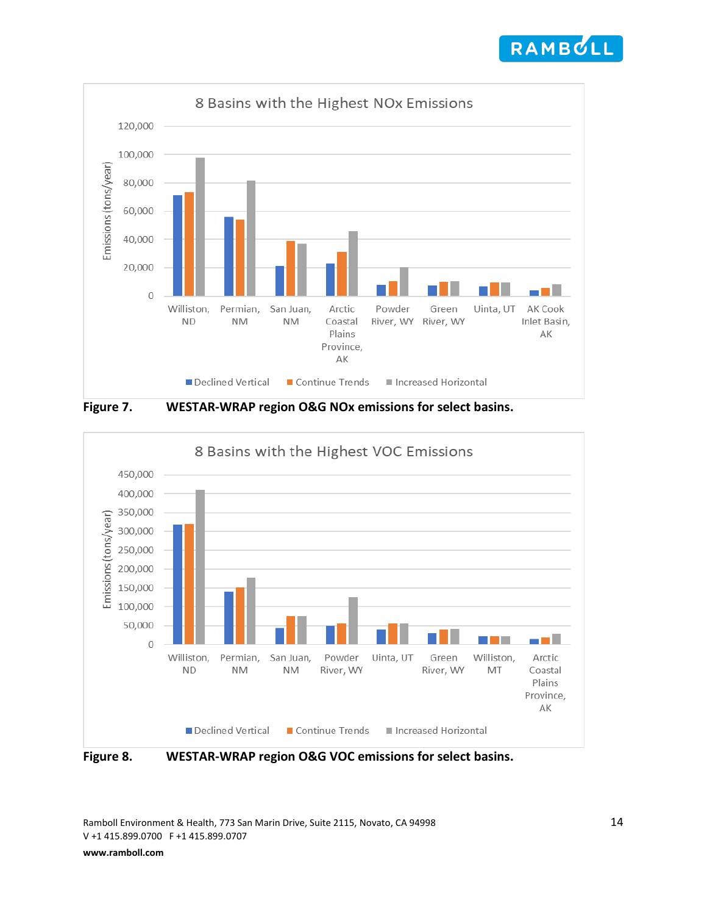



**Figure 7. WESTAR-WRAP region O&G NOx emissions for select basins.**



**Figure 8. WESTAR-WRAP region O&G VOC emissions for select basins.**

Ramboll Environment & Health, 773 San Marin Drive, Suite 2115, Novato, CA 94998 14 V +1 415.899.0700 F +1 415.899.0707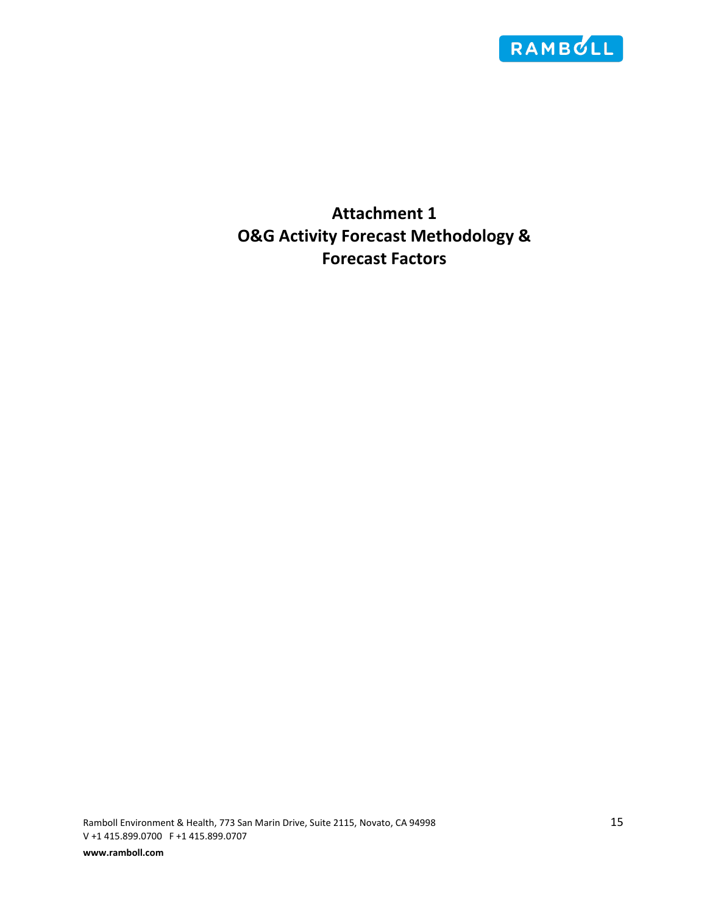

**Attachment 1 O&G Activity Forecast Methodology & Forecast Factors**

Ramboll Environment & Health, 773 San Marin Drive, Suite 2115, Novato, CA 94998 15 V +1 415.899.0700 F +1 415.899.0707 **www.ramboll.com**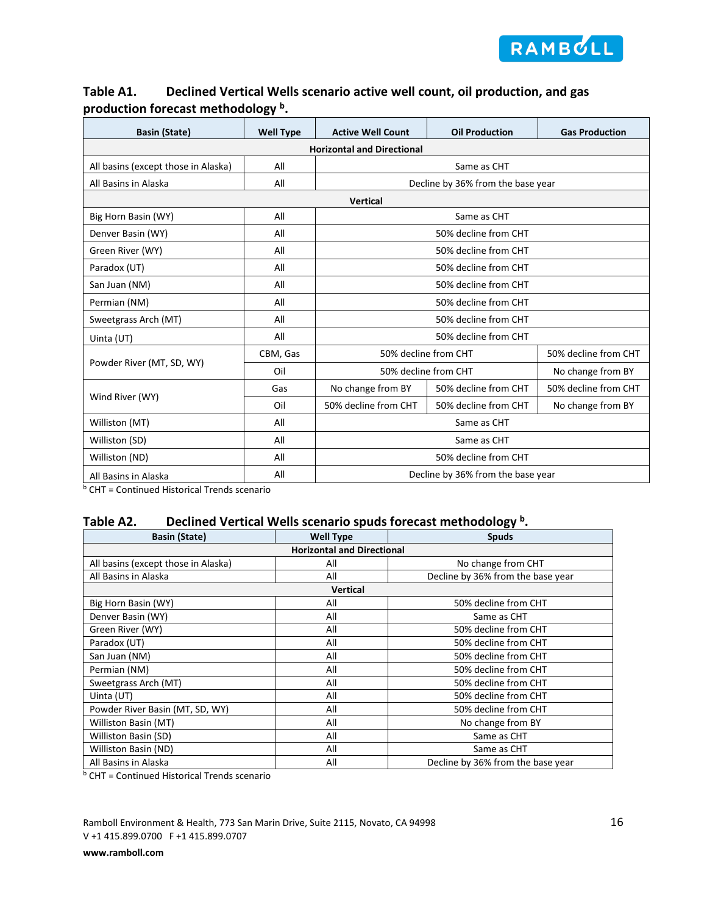

|                                     | ັ                |                                   |                                   |                       |  |  |  |
|-------------------------------------|------------------|-----------------------------------|-----------------------------------|-----------------------|--|--|--|
| <b>Basin (State)</b>                | <b>Well Type</b> | <b>Active Well Count</b>          | <b>Oil Production</b>             | <b>Gas Production</b> |  |  |  |
|                                     |                  | <b>Horizontal and Directional</b> |                                   |                       |  |  |  |
| All basins (except those in Alaska) | All              |                                   | Same as CHT                       |                       |  |  |  |
| All Basins in Alaska                | All              |                                   | Decline by 36% from the base year |                       |  |  |  |
| <b>Vertical</b>                     |                  |                                   |                                   |                       |  |  |  |
| Big Horn Basin (WY)                 | All              |                                   | Same as CHT                       |                       |  |  |  |
| Denver Basin (WY)                   | All              |                                   | 50% decline from CHT              |                       |  |  |  |
| Green River (WY)                    | All              |                                   | 50% decline from CHT              |                       |  |  |  |
| Paradox (UT)                        | All              |                                   | 50% decline from CHT              |                       |  |  |  |
| San Juan (NM)                       | All              |                                   | 50% decline from CHT              |                       |  |  |  |
| Permian (NM)                        | All              |                                   | 50% decline from CHT              |                       |  |  |  |
| Sweetgrass Arch (MT)                | All              |                                   | 50% decline from CHT              |                       |  |  |  |
| Uinta (UT)                          | All              |                                   | 50% decline from CHT              |                       |  |  |  |
|                                     | CBM, Gas         | 50% decline from CHT              |                                   | 50% decline from CHT  |  |  |  |
| Powder River (MT, SD, WY)           | Oil              | 50% decline from CHT              |                                   | No change from BY     |  |  |  |
|                                     | Gas              | No change from BY                 | 50% decline from CHT              | 50% decline from CHT  |  |  |  |
| Wind River (WY)                     | Oil              | 50% decline from CHT              | 50% decline from CHT              | No change from BY     |  |  |  |
| Williston (MT)                      | All              |                                   | Same as CHT                       |                       |  |  |  |
| Williston (SD)                      | All              |                                   | Same as CHT                       |                       |  |  |  |
| Williston (ND)                      | All              |                                   | 50% decline from CHT              |                       |  |  |  |
| All Basins in Alaska                | All              |                                   | Decline by 36% from the base year |                       |  |  |  |

# **Table A1. Declined Vertical Wells scenario active well count, oil production, and gas production forecast methodology b.**

**b CHT = Continued Historical Trends scenario** 

### **Table A2. Declined Vertical Wells scenario spuds forecast methodology b.**

| <b>Basin (State)</b>                | <b>Well Type</b>                  | <b>Spuds</b>                      |  |  |  |  |  |  |
|-------------------------------------|-----------------------------------|-----------------------------------|--|--|--|--|--|--|
|                                     | <b>Horizontal and Directional</b> |                                   |  |  |  |  |  |  |
| All basins (except those in Alaska) | All                               | No change from CHT                |  |  |  |  |  |  |
| All Basins in Alaska                | All                               | Decline by 36% from the base year |  |  |  |  |  |  |
|                                     | Vertical                          |                                   |  |  |  |  |  |  |
| Big Horn Basin (WY)                 | All                               | 50% decline from CHT              |  |  |  |  |  |  |
| Denver Basin (WY)                   | All                               | Same as CHT                       |  |  |  |  |  |  |
| Green River (WY)                    | All                               | 50% decline from CHT              |  |  |  |  |  |  |
| Paradox (UT)                        | All                               | 50% decline from CHT              |  |  |  |  |  |  |
| San Juan (NM)                       | All                               | 50% decline from CHT              |  |  |  |  |  |  |
| Permian (NM)                        | All                               | 50% decline from CHT              |  |  |  |  |  |  |
| Sweetgrass Arch (MT)                | All                               | 50% decline from CHT              |  |  |  |  |  |  |
| Uinta (UT)                          | All                               | 50% decline from CHT              |  |  |  |  |  |  |
| Powder River Basin (MT, SD, WY)     | All                               | 50% decline from CHT              |  |  |  |  |  |  |
| Williston Basin (MT)                | All                               | No change from BY                 |  |  |  |  |  |  |
| Williston Basin (SD)                | All                               | Same as CHT                       |  |  |  |  |  |  |
| Williston Basin (ND)                | All                               | Same as CHT                       |  |  |  |  |  |  |
| All Basins in Alaska                | All                               | Decline by 36% from the base year |  |  |  |  |  |  |

 $b$  CHT = Continued Historical Trends scenario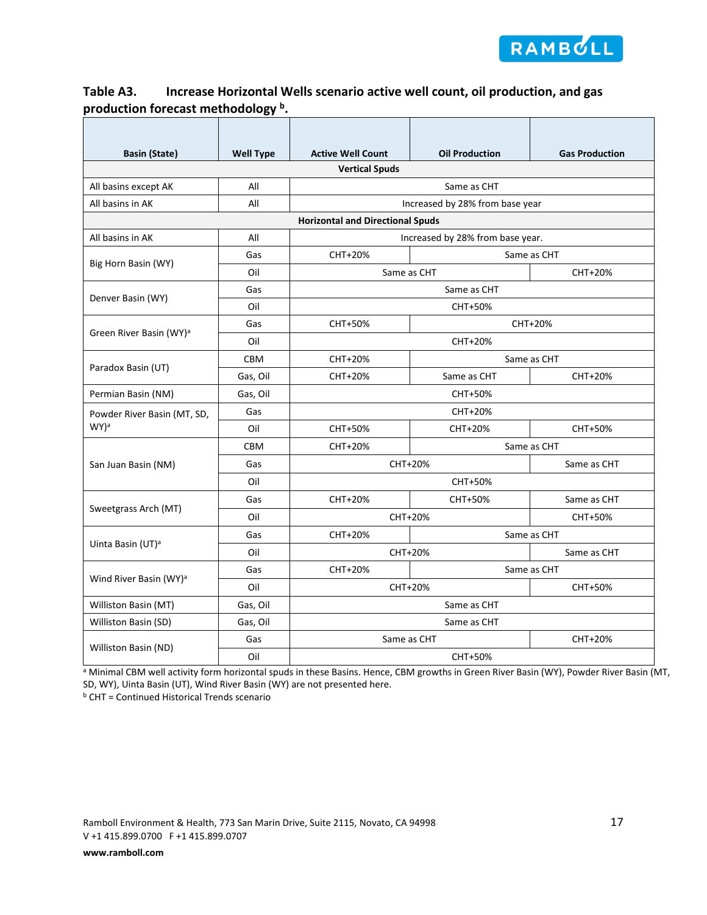

# **Table A3. Increase Horizontal Wells scenario active well count, oil production, and gas production forecast methodology b.**

| <b>Basin (State)</b>                | <b>Well Type</b> | <b>Active Well Count</b>                | <b>Oil Production</b>            | <b>Gas Production</b> |  |  |  |
|-------------------------------------|------------------|-----------------------------------------|----------------------------------|-----------------------|--|--|--|
|                                     |                  | <b>Vertical Spuds</b>                   |                                  |                       |  |  |  |
| All basins except AK                | All              |                                         | Same as CHT                      |                       |  |  |  |
| All basins in AK                    | All              |                                         | Increased by 28% from base year  |                       |  |  |  |
|                                     |                  | <b>Horizontal and Directional Spuds</b> |                                  |                       |  |  |  |
| All basins in AK                    | All              |                                         | Increased by 28% from base year. |                       |  |  |  |
| Big Horn Basin (WY)                 | Gas              | CHT+20%                                 |                                  | Same as CHT           |  |  |  |
|                                     | Oil              |                                         | Same as CHT                      | CHT+20%               |  |  |  |
| Denver Basin (WY)                   | Gas              |                                         | Same as CHT                      |                       |  |  |  |
|                                     | Oil              |                                         | CHT+50%                          |                       |  |  |  |
|                                     | Gas              | CHT+50%                                 |                                  | CHT+20%               |  |  |  |
| Green River Basin (WY) <sup>a</sup> | Oil              | CHT+20%                                 |                                  |                       |  |  |  |
| Paradox Basin (UT)                  | <b>CBM</b>       | CHT+20%                                 | Same as CHT                      |                       |  |  |  |
|                                     | Gas, Oil         | CHT+20%                                 | Same as CHT                      | CHT+20%               |  |  |  |
| Permian Basin (NM)                  | Gas, Oil         | CHT+50%                                 |                                  |                       |  |  |  |
| Powder River Basin (MT, SD,         | Gas              |                                         | CHT+20%                          |                       |  |  |  |
| WY) <sup>a</sup>                    | Oil              | CHT+50%                                 | CHT+20%                          | CHT+50%               |  |  |  |
|                                     | <b>CBM</b>       | CHT+20%                                 |                                  | Same as CHT           |  |  |  |
| San Juan Basin (NM)                 | Gas              |                                         | CHT+20%                          | Same as CHT           |  |  |  |
|                                     | Oil              |                                         | CHT+50%                          |                       |  |  |  |
|                                     | Gas              | CHT+20%                                 | CHT+50%                          | Same as CHT           |  |  |  |
| Sweetgrass Arch (MT)                | Oil              |                                         | CHT+20%                          | CHT+50%               |  |  |  |
|                                     | Gas              | CHT+20%                                 |                                  | Same as CHT           |  |  |  |
| Uinta Basin (UT) <sup>a</sup>       | Oil              |                                         | CHT+20%                          | Same as CHT           |  |  |  |
|                                     | Gas              | CHT+20%                                 |                                  | Same as CHT           |  |  |  |
| Wind River Basin (WY) <sup>a</sup>  | Oil              |                                         | CHT+20%                          | CHT+50%               |  |  |  |
| Williston Basin (MT)                | Gas, Oil         |                                         | Same as CHT                      |                       |  |  |  |
| Williston Basin (SD)                | Gas, Oil         |                                         | Same as CHT                      |                       |  |  |  |
|                                     | Gas              |                                         | Same as CHT                      | CHT+20%               |  |  |  |
| Williston Basin (ND)                | Oil              | CHT+50%                                 |                                  |                       |  |  |  |

a Minimal CBM well activity form horizontal spuds in these Basins. Hence, CBM growths in Green River Basin (WY), Powder River Basin (MT, SD, WY), Uinta Basin (UT), Wind River Basin (WY) are not presented here.

<sup>b</sup> CHT = Continued Historical Trends scenario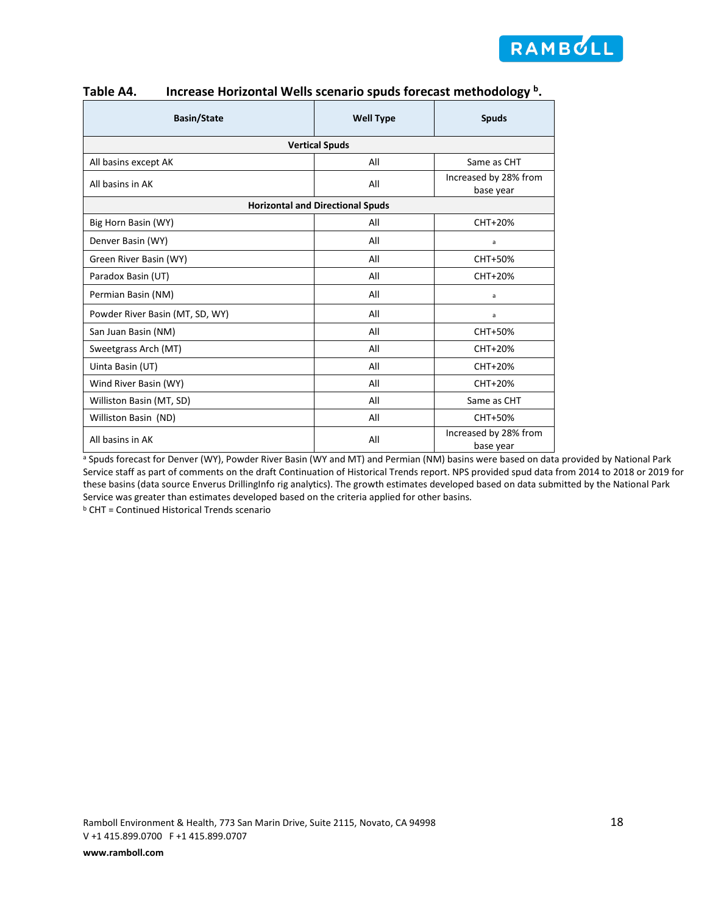

| <b>Basin/State</b>              | <b>Well Type</b>                        | <b>Spuds</b>                       |  |  |  |  |  |
|---------------------------------|-----------------------------------------|------------------------------------|--|--|--|--|--|
| <b>Vertical Spuds</b>           |                                         |                                    |  |  |  |  |  |
| All basins except AK            | All                                     | Same as CHT                        |  |  |  |  |  |
| All basins in AK                | All                                     | Increased by 28% from<br>base year |  |  |  |  |  |
|                                 | <b>Horizontal and Directional Spuds</b> |                                    |  |  |  |  |  |
| Big Horn Basin (WY)             | All                                     | CHT+20%                            |  |  |  |  |  |
| Denver Basin (WY)               | All                                     | a                                  |  |  |  |  |  |
| Green River Basin (WY)          | All                                     | CHT+50%                            |  |  |  |  |  |
| Paradox Basin (UT)              | All                                     | CHT+20%                            |  |  |  |  |  |
| Permian Basin (NM)              | All                                     | a                                  |  |  |  |  |  |
| Powder River Basin (MT, SD, WY) | All                                     | a                                  |  |  |  |  |  |
| San Juan Basin (NM)             | All                                     | CHT+50%                            |  |  |  |  |  |
| Sweetgrass Arch (MT)            | All                                     | CHT+20%                            |  |  |  |  |  |
| Uinta Basin (UT)                | All                                     | CHT+20%                            |  |  |  |  |  |
| Wind River Basin (WY)           | All                                     | CHT+20%                            |  |  |  |  |  |
| Williston Basin (MT, SD)        | All                                     | Same as CHT                        |  |  |  |  |  |
| Williston Basin (ND)            | All                                     | CHT+50%                            |  |  |  |  |  |
| All basins in AK                | All                                     | Increased by 28% from<br>base year |  |  |  |  |  |

### **Table A4. Increase Horizontal Wells scenario spuds forecast methodology b.**

a Spuds forecast for Denver (WY), Powder River Basin (WY and MT) and Permian (NM) basins were based on data provided by National Park Service staff as part of comments on the draft Continuation of Historical Trends report. NPS provided spud data from 2014 to 2018 or 2019 for these basins (data source Enverus DrillingInfo rig analytics). The growth estimates developed based on data submitted by the National Park Service was greater than estimates developed based on the criteria applied for other basins.

<sup>b</sup> CHT = Continued Historical Trends scenario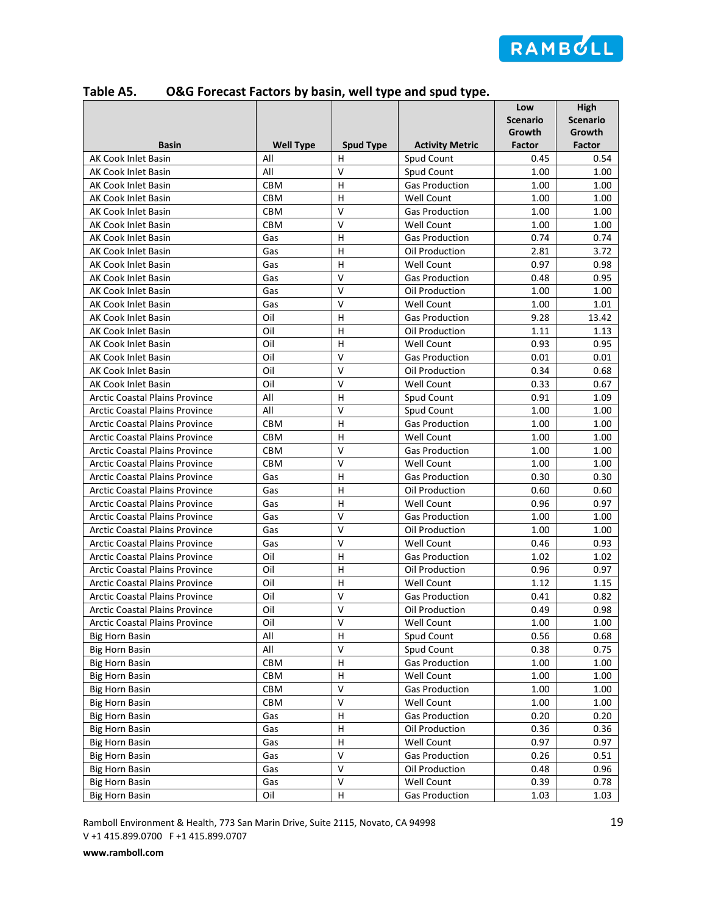

| <b>Basin</b><br><b>Well Type</b><br><b>Spud Type</b><br><b>Activity Metric</b><br><b>Factor</b><br>Factor<br>AK Cook Inlet Basin<br>Spud Count<br>All<br>н<br>0.45<br>0.54<br>$\overline{\mathsf{v}}$<br>All<br>Spud Count<br>1.00<br><b>AK Cook Inlet Basin</b><br>1.00<br>H<br>AK Cook Inlet Basin<br><b>CBM</b><br><b>Gas Production</b><br>1.00<br>1.00<br>H<br>AK Cook Inlet Basin<br><b>CBM</b><br><b>Well Count</b><br>1.00<br>1.00<br>$\mathsf{V}$<br>CBM<br>1.00<br>1.00<br>AK Cook Inlet Basin<br><b>Gas Production</b><br>$\vee$<br>AK Cook Inlet Basin<br>CBM<br>Well Count<br>1.00<br>1.00<br>H<br><b>Gas Production</b><br>0.74<br>0.74<br>AK Cook Inlet Basin<br>Gas<br><b>AK Cook Inlet Basin</b><br>н<br>Oil Production<br>2.81<br>3.72<br>Gas<br>$\mathsf{H}$<br><b>Well Count</b><br>0.97<br>0.98<br><b>AK Cook Inlet Basin</b><br>Gas<br>$\mathsf{V}$<br>AK Cook Inlet Basin<br>Gas<br><b>Gas Production</b><br>0.48<br>0.95<br>$\overline{\mathsf{v}}$<br>Gas<br>AK Cook Inlet Basin<br>Oil Production<br>1.00<br>1.00<br>$\vee$<br>Gas<br><b>Well Count</b><br>1.01<br>AK Cook Inlet Basin<br>1.00<br>H<br>Oil<br>9.28<br>13.42<br>AK Cook Inlet Basin<br><b>Gas Production</b><br>Oil<br>H<br>1.11<br><b>AK Cook Inlet Basin</b><br>Oil Production<br>1.13<br>Oil<br>H<br>0.93<br>0.95<br><b>AK Cook Inlet Basin</b><br><b>Well Count</b><br>$\vee$<br>Oil<br>AK Cook Inlet Basin<br><b>Gas Production</b><br>0.01<br>0.01<br>$\vee$<br>Oil<br>Oil Production<br>0.68<br>AK Cook Inlet Basin<br>0.34<br>$\mathsf{V}$<br>Oil<br><b>Well Count</b><br>0.67<br><b>AK Cook Inlet Basin</b><br>0.33<br>H<br>All<br>Spud Count<br><b>Arctic Coastal Plains Province</b><br>0.91<br>1.09<br>All<br>v<br><b>Arctic Coastal Plains Province</b><br>Spud Count<br>1.00<br>1.00<br>$\mathsf{H}$<br><b>Arctic Coastal Plains Province</b><br><b>CBM</b><br><b>Gas Production</b><br>1.00<br>1.00<br>H<br><b>Arctic Coastal Plains Province</b><br><b>CBM</b><br><b>Well Count</b><br>1.00<br>1.00<br>$\mathsf{V}$<br><b>CBM</b><br><b>Arctic Coastal Plains Province</b><br><b>Gas Production</b><br>1.00<br>1.00<br>$\vee$<br><b>CBM</b><br><b>Well Count</b><br>1.00<br>1.00<br><b>Arctic Coastal Plains Province</b><br>$\overline{H}$<br>Gas<br><b>Gas Production</b><br>0.30<br>0.30<br><b>Arctic Coastal Plains Province</b><br>H<br>Oil Production<br>0.60<br>0.60<br><b>Arctic Coastal Plains Province</b><br>Gas<br>H<br><b>Arctic Coastal Plains Province</b><br>Gas<br><b>Well Count</b><br>0.96<br>0.97<br>$\vee$<br><b>Arctic Coastal Plains Province</b><br>Gas<br><b>Gas Production</b><br>1.00<br>1.00<br>$\mathsf{V}$<br><b>Arctic Coastal Plains Province</b><br>Gas<br>Oil Production<br>1.00<br>1.00<br>V<br><b>Arctic Coastal Plains Province</b><br>Well Count<br>0.93<br>Gas<br>0.46<br>H<br><b>Arctic Coastal Plains Province</b><br>Oil<br><b>Gas Production</b><br>1.02<br>1.02<br>н<br><b>Arctic Coastal Plains Province</b><br>Oil<br>Oil Production<br>0.96<br>0.97<br>$\mathsf{H}$<br>Oil<br><b>Arctic Coastal Plains Province</b><br><b>Well Count</b><br>1.12<br>1.15<br>V<br>Oil<br><b>Arctic Coastal Plains Province</b><br><b>Gas Production</b><br>0.41<br>0.82<br>V<br>Oil<br>0.49<br>0.98<br><b>Arctic Coastal Plains Province</b><br>Oil Production<br>$\sf V$<br>Well Count<br><b>Arctic Coastal Plains Province</b><br>Oil<br>1.00<br>1.00<br>$\overline{\mathsf{H}}$<br>All<br>0.56<br><b>Big Horn Basin</b><br>Spud Count<br>0.68<br>$\mathsf V$<br>All<br>0.38<br><b>Big Horn Basin</b><br>Spud Count<br>0.75<br>H<br><b>Big Horn Basin</b><br>CBM<br><b>Gas Production</b><br>1.00<br>1.00<br>CBM<br>Н<br>Well Count<br>1.00<br>1.00<br><b>Big Horn Basin</b><br>V<br>CBM<br><b>Gas Production</b><br>1.00<br><b>Big Horn Basin</b><br>1.00<br>V<br>Well Count<br><b>Big Horn Basin</b><br>CBM<br>1.00<br>1.00<br>Н<br>0.20<br>0.20<br><b>Big Horn Basin</b><br>Gas<br>Gas Production<br>Н<br><b>Big Horn Basin</b><br>Gas<br>Oil Production<br>0.36<br>0.36<br>Н<br><b>Big Horn Basin</b><br>Gas<br><b>Well Count</b><br>0.97<br>0.97<br>V<br>Gas<br>0.26<br><b>Big Horn Basin</b><br><b>Gas Production</b><br>0.51<br>$\vee$<br><b>Big Horn Basin</b><br>Gas<br>Oil Production<br>0.48<br>0.96<br>$\vee$<br>Gas<br>Well Count<br>0.39<br>0.78<br><b>Big Horn Basin</b> |                       |     |         |                       | Low<br><b>Scenario</b><br>Growth | High<br><b>Scenario</b><br>Growth |
|----------------------------------------------------------------------------------------------------------------------------------------------------------------------------------------------------------------------------------------------------------------------------------------------------------------------------------------------------------------------------------------------------------------------------------------------------------------------------------------------------------------------------------------------------------------------------------------------------------------------------------------------------------------------------------------------------------------------------------------------------------------------------------------------------------------------------------------------------------------------------------------------------------------------------------------------------------------------------------------------------------------------------------------------------------------------------------------------------------------------------------------------------------------------------------------------------------------------------------------------------------------------------------------------------------------------------------------------------------------------------------------------------------------------------------------------------------------------------------------------------------------------------------------------------------------------------------------------------------------------------------------------------------------------------------------------------------------------------------------------------------------------------------------------------------------------------------------------------------------------------------------------------------------------------------------------------------------------------------------------------------------------------------------------------------------------------------------------------------------------------------------------------------------------------------------------------------------------------------------------------------------------------------------------------------------------------------------------------------------------------------------------------------------------------------------------------------------------------------------------------------------------------------------------------------------------------------------------------------------------------------------------------------------------------------------------------------------------------------------------------------------------------------------------------------------------------------------------------------------------------------------------------------------------------------------------------------------------------------------------------------------------------------------------------------------------------------------------------------------------------------------------------------------------------------------------------------------------------------------------------------------------------------------------------------------------------------------------------------------------------------------------------------------------------------------------------------------------------------------------------------------------------------------------------------------------------------------------------------------------------------------------------------------------------------------------------------------------------------------------------------------------------------------------------------------------------------------------------------------------------------------------------------------------------------------------------------------------------------------------------------------------------------------------------------------------------------------------------------------------------------------------------------------------------------------------------------------------------------------------------------------------------------------------------------------------------------|-----------------------|-----|---------|-----------------------|----------------------------------|-----------------------------------|
|                                                                                                                                                                                                                                                                                                                                                                                                                                                                                                                                                                                                                                                                                                                                                                                                                                                                                                                                                                                                                                                                                                                                                                                                                                                                                                                                                                                                                                                                                                                                                                                                                                                                                                                                                                                                                                                                                                                                                                                                                                                                                                                                                                                                                                                                                                                                                                                                                                                                                                                                                                                                                                                                                                                                                                                                                                                                                                                                                                                                                                                                                                                                                                                                                                                                                                                                                                                                                                                                                                                                                                                                                                                                                                                                                                                                                                                                                                                                                                                                                                                                                                                                                                                                                                                                                                                                  |                       |     |         |                       |                                  |                                   |
|                                                                                                                                                                                                                                                                                                                                                                                                                                                                                                                                                                                                                                                                                                                                                                                                                                                                                                                                                                                                                                                                                                                                                                                                                                                                                                                                                                                                                                                                                                                                                                                                                                                                                                                                                                                                                                                                                                                                                                                                                                                                                                                                                                                                                                                                                                                                                                                                                                                                                                                                                                                                                                                                                                                                                                                                                                                                                                                                                                                                                                                                                                                                                                                                                                                                                                                                                                                                                                                                                                                                                                                                                                                                                                                                                                                                                                                                                                                                                                                                                                                                                                                                                                                                                                                                                                                                  |                       |     |         |                       |                                  |                                   |
|                                                                                                                                                                                                                                                                                                                                                                                                                                                                                                                                                                                                                                                                                                                                                                                                                                                                                                                                                                                                                                                                                                                                                                                                                                                                                                                                                                                                                                                                                                                                                                                                                                                                                                                                                                                                                                                                                                                                                                                                                                                                                                                                                                                                                                                                                                                                                                                                                                                                                                                                                                                                                                                                                                                                                                                                                                                                                                                                                                                                                                                                                                                                                                                                                                                                                                                                                                                                                                                                                                                                                                                                                                                                                                                                                                                                                                                                                                                                                                                                                                                                                                                                                                                                                                                                                                                                  |                       |     |         |                       |                                  |                                   |
|                                                                                                                                                                                                                                                                                                                                                                                                                                                                                                                                                                                                                                                                                                                                                                                                                                                                                                                                                                                                                                                                                                                                                                                                                                                                                                                                                                                                                                                                                                                                                                                                                                                                                                                                                                                                                                                                                                                                                                                                                                                                                                                                                                                                                                                                                                                                                                                                                                                                                                                                                                                                                                                                                                                                                                                                                                                                                                                                                                                                                                                                                                                                                                                                                                                                                                                                                                                                                                                                                                                                                                                                                                                                                                                                                                                                                                                                                                                                                                                                                                                                                                                                                                                                                                                                                                                                  |                       |     |         |                       |                                  |                                   |
|                                                                                                                                                                                                                                                                                                                                                                                                                                                                                                                                                                                                                                                                                                                                                                                                                                                                                                                                                                                                                                                                                                                                                                                                                                                                                                                                                                                                                                                                                                                                                                                                                                                                                                                                                                                                                                                                                                                                                                                                                                                                                                                                                                                                                                                                                                                                                                                                                                                                                                                                                                                                                                                                                                                                                                                                                                                                                                                                                                                                                                                                                                                                                                                                                                                                                                                                                                                                                                                                                                                                                                                                                                                                                                                                                                                                                                                                                                                                                                                                                                                                                                                                                                                                                                                                                                                                  |                       |     |         |                       |                                  |                                   |
|                                                                                                                                                                                                                                                                                                                                                                                                                                                                                                                                                                                                                                                                                                                                                                                                                                                                                                                                                                                                                                                                                                                                                                                                                                                                                                                                                                                                                                                                                                                                                                                                                                                                                                                                                                                                                                                                                                                                                                                                                                                                                                                                                                                                                                                                                                                                                                                                                                                                                                                                                                                                                                                                                                                                                                                                                                                                                                                                                                                                                                                                                                                                                                                                                                                                                                                                                                                                                                                                                                                                                                                                                                                                                                                                                                                                                                                                                                                                                                                                                                                                                                                                                                                                                                                                                                                                  |                       |     |         |                       |                                  |                                   |
|                                                                                                                                                                                                                                                                                                                                                                                                                                                                                                                                                                                                                                                                                                                                                                                                                                                                                                                                                                                                                                                                                                                                                                                                                                                                                                                                                                                                                                                                                                                                                                                                                                                                                                                                                                                                                                                                                                                                                                                                                                                                                                                                                                                                                                                                                                                                                                                                                                                                                                                                                                                                                                                                                                                                                                                                                                                                                                                                                                                                                                                                                                                                                                                                                                                                                                                                                                                                                                                                                                                                                                                                                                                                                                                                                                                                                                                                                                                                                                                                                                                                                                                                                                                                                                                                                                                                  |                       |     |         |                       |                                  |                                   |
|                                                                                                                                                                                                                                                                                                                                                                                                                                                                                                                                                                                                                                                                                                                                                                                                                                                                                                                                                                                                                                                                                                                                                                                                                                                                                                                                                                                                                                                                                                                                                                                                                                                                                                                                                                                                                                                                                                                                                                                                                                                                                                                                                                                                                                                                                                                                                                                                                                                                                                                                                                                                                                                                                                                                                                                                                                                                                                                                                                                                                                                                                                                                                                                                                                                                                                                                                                                                                                                                                                                                                                                                                                                                                                                                                                                                                                                                                                                                                                                                                                                                                                                                                                                                                                                                                                                                  |                       |     |         |                       |                                  |                                   |
|                                                                                                                                                                                                                                                                                                                                                                                                                                                                                                                                                                                                                                                                                                                                                                                                                                                                                                                                                                                                                                                                                                                                                                                                                                                                                                                                                                                                                                                                                                                                                                                                                                                                                                                                                                                                                                                                                                                                                                                                                                                                                                                                                                                                                                                                                                                                                                                                                                                                                                                                                                                                                                                                                                                                                                                                                                                                                                                                                                                                                                                                                                                                                                                                                                                                                                                                                                                                                                                                                                                                                                                                                                                                                                                                                                                                                                                                                                                                                                                                                                                                                                                                                                                                                                                                                                                                  |                       |     |         |                       |                                  |                                   |
|                                                                                                                                                                                                                                                                                                                                                                                                                                                                                                                                                                                                                                                                                                                                                                                                                                                                                                                                                                                                                                                                                                                                                                                                                                                                                                                                                                                                                                                                                                                                                                                                                                                                                                                                                                                                                                                                                                                                                                                                                                                                                                                                                                                                                                                                                                                                                                                                                                                                                                                                                                                                                                                                                                                                                                                                                                                                                                                                                                                                                                                                                                                                                                                                                                                                                                                                                                                                                                                                                                                                                                                                                                                                                                                                                                                                                                                                                                                                                                                                                                                                                                                                                                                                                                                                                                                                  |                       |     |         |                       |                                  |                                   |
|                                                                                                                                                                                                                                                                                                                                                                                                                                                                                                                                                                                                                                                                                                                                                                                                                                                                                                                                                                                                                                                                                                                                                                                                                                                                                                                                                                                                                                                                                                                                                                                                                                                                                                                                                                                                                                                                                                                                                                                                                                                                                                                                                                                                                                                                                                                                                                                                                                                                                                                                                                                                                                                                                                                                                                                                                                                                                                                                                                                                                                                                                                                                                                                                                                                                                                                                                                                                                                                                                                                                                                                                                                                                                                                                                                                                                                                                                                                                                                                                                                                                                                                                                                                                                                                                                                                                  |                       |     |         |                       |                                  |                                   |
|                                                                                                                                                                                                                                                                                                                                                                                                                                                                                                                                                                                                                                                                                                                                                                                                                                                                                                                                                                                                                                                                                                                                                                                                                                                                                                                                                                                                                                                                                                                                                                                                                                                                                                                                                                                                                                                                                                                                                                                                                                                                                                                                                                                                                                                                                                                                                                                                                                                                                                                                                                                                                                                                                                                                                                                                                                                                                                                                                                                                                                                                                                                                                                                                                                                                                                                                                                                                                                                                                                                                                                                                                                                                                                                                                                                                                                                                                                                                                                                                                                                                                                                                                                                                                                                                                                                                  |                       |     |         |                       |                                  |                                   |
|                                                                                                                                                                                                                                                                                                                                                                                                                                                                                                                                                                                                                                                                                                                                                                                                                                                                                                                                                                                                                                                                                                                                                                                                                                                                                                                                                                                                                                                                                                                                                                                                                                                                                                                                                                                                                                                                                                                                                                                                                                                                                                                                                                                                                                                                                                                                                                                                                                                                                                                                                                                                                                                                                                                                                                                                                                                                                                                                                                                                                                                                                                                                                                                                                                                                                                                                                                                                                                                                                                                                                                                                                                                                                                                                                                                                                                                                                                                                                                                                                                                                                                                                                                                                                                                                                                                                  |                       |     |         |                       |                                  |                                   |
|                                                                                                                                                                                                                                                                                                                                                                                                                                                                                                                                                                                                                                                                                                                                                                                                                                                                                                                                                                                                                                                                                                                                                                                                                                                                                                                                                                                                                                                                                                                                                                                                                                                                                                                                                                                                                                                                                                                                                                                                                                                                                                                                                                                                                                                                                                                                                                                                                                                                                                                                                                                                                                                                                                                                                                                                                                                                                                                                                                                                                                                                                                                                                                                                                                                                                                                                                                                                                                                                                                                                                                                                                                                                                                                                                                                                                                                                                                                                                                                                                                                                                                                                                                                                                                                                                                                                  |                       |     |         |                       |                                  |                                   |
|                                                                                                                                                                                                                                                                                                                                                                                                                                                                                                                                                                                                                                                                                                                                                                                                                                                                                                                                                                                                                                                                                                                                                                                                                                                                                                                                                                                                                                                                                                                                                                                                                                                                                                                                                                                                                                                                                                                                                                                                                                                                                                                                                                                                                                                                                                                                                                                                                                                                                                                                                                                                                                                                                                                                                                                                                                                                                                                                                                                                                                                                                                                                                                                                                                                                                                                                                                                                                                                                                                                                                                                                                                                                                                                                                                                                                                                                                                                                                                                                                                                                                                                                                                                                                                                                                                                                  |                       |     |         |                       |                                  |                                   |
|                                                                                                                                                                                                                                                                                                                                                                                                                                                                                                                                                                                                                                                                                                                                                                                                                                                                                                                                                                                                                                                                                                                                                                                                                                                                                                                                                                                                                                                                                                                                                                                                                                                                                                                                                                                                                                                                                                                                                                                                                                                                                                                                                                                                                                                                                                                                                                                                                                                                                                                                                                                                                                                                                                                                                                                                                                                                                                                                                                                                                                                                                                                                                                                                                                                                                                                                                                                                                                                                                                                                                                                                                                                                                                                                                                                                                                                                                                                                                                                                                                                                                                                                                                                                                                                                                                                                  |                       |     |         |                       |                                  |                                   |
|                                                                                                                                                                                                                                                                                                                                                                                                                                                                                                                                                                                                                                                                                                                                                                                                                                                                                                                                                                                                                                                                                                                                                                                                                                                                                                                                                                                                                                                                                                                                                                                                                                                                                                                                                                                                                                                                                                                                                                                                                                                                                                                                                                                                                                                                                                                                                                                                                                                                                                                                                                                                                                                                                                                                                                                                                                                                                                                                                                                                                                                                                                                                                                                                                                                                                                                                                                                                                                                                                                                                                                                                                                                                                                                                                                                                                                                                                                                                                                                                                                                                                                                                                                                                                                                                                                                                  |                       |     |         |                       |                                  |                                   |
|                                                                                                                                                                                                                                                                                                                                                                                                                                                                                                                                                                                                                                                                                                                                                                                                                                                                                                                                                                                                                                                                                                                                                                                                                                                                                                                                                                                                                                                                                                                                                                                                                                                                                                                                                                                                                                                                                                                                                                                                                                                                                                                                                                                                                                                                                                                                                                                                                                                                                                                                                                                                                                                                                                                                                                                                                                                                                                                                                                                                                                                                                                                                                                                                                                                                                                                                                                                                                                                                                                                                                                                                                                                                                                                                                                                                                                                                                                                                                                                                                                                                                                                                                                                                                                                                                                                                  |                       |     |         |                       |                                  |                                   |
|                                                                                                                                                                                                                                                                                                                                                                                                                                                                                                                                                                                                                                                                                                                                                                                                                                                                                                                                                                                                                                                                                                                                                                                                                                                                                                                                                                                                                                                                                                                                                                                                                                                                                                                                                                                                                                                                                                                                                                                                                                                                                                                                                                                                                                                                                                                                                                                                                                                                                                                                                                                                                                                                                                                                                                                                                                                                                                                                                                                                                                                                                                                                                                                                                                                                                                                                                                                                                                                                                                                                                                                                                                                                                                                                                                                                                                                                                                                                                                                                                                                                                                                                                                                                                                                                                                                                  |                       |     |         |                       |                                  |                                   |
|                                                                                                                                                                                                                                                                                                                                                                                                                                                                                                                                                                                                                                                                                                                                                                                                                                                                                                                                                                                                                                                                                                                                                                                                                                                                                                                                                                                                                                                                                                                                                                                                                                                                                                                                                                                                                                                                                                                                                                                                                                                                                                                                                                                                                                                                                                                                                                                                                                                                                                                                                                                                                                                                                                                                                                                                                                                                                                                                                                                                                                                                                                                                                                                                                                                                                                                                                                                                                                                                                                                                                                                                                                                                                                                                                                                                                                                                                                                                                                                                                                                                                                                                                                                                                                                                                                                                  |                       |     |         |                       |                                  |                                   |
|                                                                                                                                                                                                                                                                                                                                                                                                                                                                                                                                                                                                                                                                                                                                                                                                                                                                                                                                                                                                                                                                                                                                                                                                                                                                                                                                                                                                                                                                                                                                                                                                                                                                                                                                                                                                                                                                                                                                                                                                                                                                                                                                                                                                                                                                                                                                                                                                                                                                                                                                                                                                                                                                                                                                                                                                                                                                                                                                                                                                                                                                                                                                                                                                                                                                                                                                                                                                                                                                                                                                                                                                                                                                                                                                                                                                                                                                                                                                                                                                                                                                                                                                                                                                                                                                                                                                  |                       |     |         |                       |                                  |                                   |
|                                                                                                                                                                                                                                                                                                                                                                                                                                                                                                                                                                                                                                                                                                                                                                                                                                                                                                                                                                                                                                                                                                                                                                                                                                                                                                                                                                                                                                                                                                                                                                                                                                                                                                                                                                                                                                                                                                                                                                                                                                                                                                                                                                                                                                                                                                                                                                                                                                                                                                                                                                                                                                                                                                                                                                                                                                                                                                                                                                                                                                                                                                                                                                                                                                                                                                                                                                                                                                                                                                                                                                                                                                                                                                                                                                                                                                                                                                                                                                                                                                                                                                                                                                                                                                                                                                                                  |                       |     |         |                       |                                  |                                   |
|                                                                                                                                                                                                                                                                                                                                                                                                                                                                                                                                                                                                                                                                                                                                                                                                                                                                                                                                                                                                                                                                                                                                                                                                                                                                                                                                                                                                                                                                                                                                                                                                                                                                                                                                                                                                                                                                                                                                                                                                                                                                                                                                                                                                                                                                                                                                                                                                                                                                                                                                                                                                                                                                                                                                                                                                                                                                                                                                                                                                                                                                                                                                                                                                                                                                                                                                                                                                                                                                                                                                                                                                                                                                                                                                                                                                                                                                                                                                                                                                                                                                                                                                                                                                                                                                                                                                  |                       |     |         |                       |                                  |                                   |
|                                                                                                                                                                                                                                                                                                                                                                                                                                                                                                                                                                                                                                                                                                                                                                                                                                                                                                                                                                                                                                                                                                                                                                                                                                                                                                                                                                                                                                                                                                                                                                                                                                                                                                                                                                                                                                                                                                                                                                                                                                                                                                                                                                                                                                                                                                                                                                                                                                                                                                                                                                                                                                                                                                                                                                                                                                                                                                                                                                                                                                                                                                                                                                                                                                                                                                                                                                                                                                                                                                                                                                                                                                                                                                                                                                                                                                                                                                                                                                                                                                                                                                                                                                                                                                                                                                                                  |                       |     |         |                       |                                  |                                   |
|                                                                                                                                                                                                                                                                                                                                                                                                                                                                                                                                                                                                                                                                                                                                                                                                                                                                                                                                                                                                                                                                                                                                                                                                                                                                                                                                                                                                                                                                                                                                                                                                                                                                                                                                                                                                                                                                                                                                                                                                                                                                                                                                                                                                                                                                                                                                                                                                                                                                                                                                                                                                                                                                                                                                                                                                                                                                                                                                                                                                                                                                                                                                                                                                                                                                                                                                                                                                                                                                                                                                                                                                                                                                                                                                                                                                                                                                                                                                                                                                                                                                                                                                                                                                                                                                                                                                  |                       |     |         |                       |                                  |                                   |
|                                                                                                                                                                                                                                                                                                                                                                                                                                                                                                                                                                                                                                                                                                                                                                                                                                                                                                                                                                                                                                                                                                                                                                                                                                                                                                                                                                                                                                                                                                                                                                                                                                                                                                                                                                                                                                                                                                                                                                                                                                                                                                                                                                                                                                                                                                                                                                                                                                                                                                                                                                                                                                                                                                                                                                                                                                                                                                                                                                                                                                                                                                                                                                                                                                                                                                                                                                                                                                                                                                                                                                                                                                                                                                                                                                                                                                                                                                                                                                                                                                                                                                                                                                                                                                                                                                                                  |                       |     |         |                       |                                  |                                   |
|                                                                                                                                                                                                                                                                                                                                                                                                                                                                                                                                                                                                                                                                                                                                                                                                                                                                                                                                                                                                                                                                                                                                                                                                                                                                                                                                                                                                                                                                                                                                                                                                                                                                                                                                                                                                                                                                                                                                                                                                                                                                                                                                                                                                                                                                                                                                                                                                                                                                                                                                                                                                                                                                                                                                                                                                                                                                                                                                                                                                                                                                                                                                                                                                                                                                                                                                                                                                                                                                                                                                                                                                                                                                                                                                                                                                                                                                                                                                                                                                                                                                                                                                                                                                                                                                                                                                  |                       |     |         |                       |                                  |                                   |
|                                                                                                                                                                                                                                                                                                                                                                                                                                                                                                                                                                                                                                                                                                                                                                                                                                                                                                                                                                                                                                                                                                                                                                                                                                                                                                                                                                                                                                                                                                                                                                                                                                                                                                                                                                                                                                                                                                                                                                                                                                                                                                                                                                                                                                                                                                                                                                                                                                                                                                                                                                                                                                                                                                                                                                                                                                                                                                                                                                                                                                                                                                                                                                                                                                                                                                                                                                                                                                                                                                                                                                                                                                                                                                                                                                                                                                                                                                                                                                                                                                                                                                                                                                                                                                                                                                                                  |                       |     |         |                       |                                  |                                   |
|                                                                                                                                                                                                                                                                                                                                                                                                                                                                                                                                                                                                                                                                                                                                                                                                                                                                                                                                                                                                                                                                                                                                                                                                                                                                                                                                                                                                                                                                                                                                                                                                                                                                                                                                                                                                                                                                                                                                                                                                                                                                                                                                                                                                                                                                                                                                                                                                                                                                                                                                                                                                                                                                                                                                                                                                                                                                                                                                                                                                                                                                                                                                                                                                                                                                                                                                                                                                                                                                                                                                                                                                                                                                                                                                                                                                                                                                                                                                                                                                                                                                                                                                                                                                                                                                                                                                  |                       |     |         |                       |                                  |                                   |
|                                                                                                                                                                                                                                                                                                                                                                                                                                                                                                                                                                                                                                                                                                                                                                                                                                                                                                                                                                                                                                                                                                                                                                                                                                                                                                                                                                                                                                                                                                                                                                                                                                                                                                                                                                                                                                                                                                                                                                                                                                                                                                                                                                                                                                                                                                                                                                                                                                                                                                                                                                                                                                                                                                                                                                                                                                                                                                                                                                                                                                                                                                                                                                                                                                                                                                                                                                                                                                                                                                                                                                                                                                                                                                                                                                                                                                                                                                                                                                                                                                                                                                                                                                                                                                                                                                                                  |                       |     |         |                       |                                  |                                   |
|                                                                                                                                                                                                                                                                                                                                                                                                                                                                                                                                                                                                                                                                                                                                                                                                                                                                                                                                                                                                                                                                                                                                                                                                                                                                                                                                                                                                                                                                                                                                                                                                                                                                                                                                                                                                                                                                                                                                                                                                                                                                                                                                                                                                                                                                                                                                                                                                                                                                                                                                                                                                                                                                                                                                                                                                                                                                                                                                                                                                                                                                                                                                                                                                                                                                                                                                                                                                                                                                                                                                                                                                                                                                                                                                                                                                                                                                                                                                                                                                                                                                                                                                                                                                                                                                                                                                  |                       |     |         |                       |                                  |                                   |
|                                                                                                                                                                                                                                                                                                                                                                                                                                                                                                                                                                                                                                                                                                                                                                                                                                                                                                                                                                                                                                                                                                                                                                                                                                                                                                                                                                                                                                                                                                                                                                                                                                                                                                                                                                                                                                                                                                                                                                                                                                                                                                                                                                                                                                                                                                                                                                                                                                                                                                                                                                                                                                                                                                                                                                                                                                                                                                                                                                                                                                                                                                                                                                                                                                                                                                                                                                                                                                                                                                                                                                                                                                                                                                                                                                                                                                                                                                                                                                                                                                                                                                                                                                                                                                                                                                                                  |                       |     |         |                       |                                  |                                   |
|                                                                                                                                                                                                                                                                                                                                                                                                                                                                                                                                                                                                                                                                                                                                                                                                                                                                                                                                                                                                                                                                                                                                                                                                                                                                                                                                                                                                                                                                                                                                                                                                                                                                                                                                                                                                                                                                                                                                                                                                                                                                                                                                                                                                                                                                                                                                                                                                                                                                                                                                                                                                                                                                                                                                                                                                                                                                                                                                                                                                                                                                                                                                                                                                                                                                                                                                                                                                                                                                                                                                                                                                                                                                                                                                                                                                                                                                                                                                                                                                                                                                                                                                                                                                                                                                                                                                  |                       |     |         |                       |                                  |                                   |
|                                                                                                                                                                                                                                                                                                                                                                                                                                                                                                                                                                                                                                                                                                                                                                                                                                                                                                                                                                                                                                                                                                                                                                                                                                                                                                                                                                                                                                                                                                                                                                                                                                                                                                                                                                                                                                                                                                                                                                                                                                                                                                                                                                                                                                                                                                                                                                                                                                                                                                                                                                                                                                                                                                                                                                                                                                                                                                                                                                                                                                                                                                                                                                                                                                                                                                                                                                                                                                                                                                                                                                                                                                                                                                                                                                                                                                                                                                                                                                                                                                                                                                                                                                                                                                                                                                                                  |                       |     |         |                       |                                  |                                   |
|                                                                                                                                                                                                                                                                                                                                                                                                                                                                                                                                                                                                                                                                                                                                                                                                                                                                                                                                                                                                                                                                                                                                                                                                                                                                                                                                                                                                                                                                                                                                                                                                                                                                                                                                                                                                                                                                                                                                                                                                                                                                                                                                                                                                                                                                                                                                                                                                                                                                                                                                                                                                                                                                                                                                                                                                                                                                                                                                                                                                                                                                                                                                                                                                                                                                                                                                                                                                                                                                                                                                                                                                                                                                                                                                                                                                                                                                                                                                                                                                                                                                                                                                                                                                                                                                                                                                  |                       |     |         |                       |                                  |                                   |
|                                                                                                                                                                                                                                                                                                                                                                                                                                                                                                                                                                                                                                                                                                                                                                                                                                                                                                                                                                                                                                                                                                                                                                                                                                                                                                                                                                                                                                                                                                                                                                                                                                                                                                                                                                                                                                                                                                                                                                                                                                                                                                                                                                                                                                                                                                                                                                                                                                                                                                                                                                                                                                                                                                                                                                                                                                                                                                                                                                                                                                                                                                                                                                                                                                                                                                                                                                                                                                                                                                                                                                                                                                                                                                                                                                                                                                                                                                                                                                                                                                                                                                                                                                                                                                                                                                                                  |                       |     |         |                       |                                  |                                   |
|                                                                                                                                                                                                                                                                                                                                                                                                                                                                                                                                                                                                                                                                                                                                                                                                                                                                                                                                                                                                                                                                                                                                                                                                                                                                                                                                                                                                                                                                                                                                                                                                                                                                                                                                                                                                                                                                                                                                                                                                                                                                                                                                                                                                                                                                                                                                                                                                                                                                                                                                                                                                                                                                                                                                                                                                                                                                                                                                                                                                                                                                                                                                                                                                                                                                                                                                                                                                                                                                                                                                                                                                                                                                                                                                                                                                                                                                                                                                                                                                                                                                                                                                                                                                                                                                                                                                  |                       |     |         |                       |                                  |                                   |
|                                                                                                                                                                                                                                                                                                                                                                                                                                                                                                                                                                                                                                                                                                                                                                                                                                                                                                                                                                                                                                                                                                                                                                                                                                                                                                                                                                                                                                                                                                                                                                                                                                                                                                                                                                                                                                                                                                                                                                                                                                                                                                                                                                                                                                                                                                                                                                                                                                                                                                                                                                                                                                                                                                                                                                                                                                                                                                                                                                                                                                                                                                                                                                                                                                                                                                                                                                                                                                                                                                                                                                                                                                                                                                                                                                                                                                                                                                                                                                                                                                                                                                                                                                                                                                                                                                                                  |                       |     |         |                       |                                  |                                   |
|                                                                                                                                                                                                                                                                                                                                                                                                                                                                                                                                                                                                                                                                                                                                                                                                                                                                                                                                                                                                                                                                                                                                                                                                                                                                                                                                                                                                                                                                                                                                                                                                                                                                                                                                                                                                                                                                                                                                                                                                                                                                                                                                                                                                                                                                                                                                                                                                                                                                                                                                                                                                                                                                                                                                                                                                                                                                                                                                                                                                                                                                                                                                                                                                                                                                                                                                                                                                                                                                                                                                                                                                                                                                                                                                                                                                                                                                                                                                                                                                                                                                                                                                                                                                                                                                                                                                  |                       |     |         |                       |                                  |                                   |
|                                                                                                                                                                                                                                                                                                                                                                                                                                                                                                                                                                                                                                                                                                                                                                                                                                                                                                                                                                                                                                                                                                                                                                                                                                                                                                                                                                                                                                                                                                                                                                                                                                                                                                                                                                                                                                                                                                                                                                                                                                                                                                                                                                                                                                                                                                                                                                                                                                                                                                                                                                                                                                                                                                                                                                                                                                                                                                                                                                                                                                                                                                                                                                                                                                                                                                                                                                                                                                                                                                                                                                                                                                                                                                                                                                                                                                                                                                                                                                                                                                                                                                                                                                                                                                                                                                                                  |                       |     |         |                       |                                  |                                   |
|                                                                                                                                                                                                                                                                                                                                                                                                                                                                                                                                                                                                                                                                                                                                                                                                                                                                                                                                                                                                                                                                                                                                                                                                                                                                                                                                                                                                                                                                                                                                                                                                                                                                                                                                                                                                                                                                                                                                                                                                                                                                                                                                                                                                                                                                                                                                                                                                                                                                                                                                                                                                                                                                                                                                                                                                                                                                                                                                                                                                                                                                                                                                                                                                                                                                                                                                                                                                                                                                                                                                                                                                                                                                                                                                                                                                                                                                                                                                                                                                                                                                                                                                                                                                                                                                                                                                  |                       |     |         |                       |                                  |                                   |
|                                                                                                                                                                                                                                                                                                                                                                                                                                                                                                                                                                                                                                                                                                                                                                                                                                                                                                                                                                                                                                                                                                                                                                                                                                                                                                                                                                                                                                                                                                                                                                                                                                                                                                                                                                                                                                                                                                                                                                                                                                                                                                                                                                                                                                                                                                                                                                                                                                                                                                                                                                                                                                                                                                                                                                                                                                                                                                                                                                                                                                                                                                                                                                                                                                                                                                                                                                                                                                                                                                                                                                                                                                                                                                                                                                                                                                                                                                                                                                                                                                                                                                                                                                                                                                                                                                                                  |                       |     |         |                       |                                  |                                   |
|                                                                                                                                                                                                                                                                                                                                                                                                                                                                                                                                                                                                                                                                                                                                                                                                                                                                                                                                                                                                                                                                                                                                                                                                                                                                                                                                                                                                                                                                                                                                                                                                                                                                                                                                                                                                                                                                                                                                                                                                                                                                                                                                                                                                                                                                                                                                                                                                                                                                                                                                                                                                                                                                                                                                                                                                                                                                                                                                                                                                                                                                                                                                                                                                                                                                                                                                                                                                                                                                                                                                                                                                                                                                                                                                                                                                                                                                                                                                                                                                                                                                                                                                                                                                                                                                                                                                  |                       |     |         |                       |                                  |                                   |
|                                                                                                                                                                                                                                                                                                                                                                                                                                                                                                                                                                                                                                                                                                                                                                                                                                                                                                                                                                                                                                                                                                                                                                                                                                                                                                                                                                                                                                                                                                                                                                                                                                                                                                                                                                                                                                                                                                                                                                                                                                                                                                                                                                                                                                                                                                                                                                                                                                                                                                                                                                                                                                                                                                                                                                                                                                                                                                                                                                                                                                                                                                                                                                                                                                                                                                                                                                                                                                                                                                                                                                                                                                                                                                                                                                                                                                                                                                                                                                                                                                                                                                                                                                                                                                                                                                                                  |                       |     |         |                       |                                  |                                   |
|                                                                                                                                                                                                                                                                                                                                                                                                                                                                                                                                                                                                                                                                                                                                                                                                                                                                                                                                                                                                                                                                                                                                                                                                                                                                                                                                                                                                                                                                                                                                                                                                                                                                                                                                                                                                                                                                                                                                                                                                                                                                                                                                                                                                                                                                                                                                                                                                                                                                                                                                                                                                                                                                                                                                                                                                                                                                                                                                                                                                                                                                                                                                                                                                                                                                                                                                                                                                                                                                                                                                                                                                                                                                                                                                                                                                                                                                                                                                                                                                                                                                                                                                                                                                                                                                                                                                  |                       |     |         |                       |                                  |                                   |
|                                                                                                                                                                                                                                                                                                                                                                                                                                                                                                                                                                                                                                                                                                                                                                                                                                                                                                                                                                                                                                                                                                                                                                                                                                                                                                                                                                                                                                                                                                                                                                                                                                                                                                                                                                                                                                                                                                                                                                                                                                                                                                                                                                                                                                                                                                                                                                                                                                                                                                                                                                                                                                                                                                                                                                                                                                                                                                                                                                                                                                                                                                                                                                                                                                                                                                                                                                                                                                                                                                                                                                                                                                                                                                                                                                                                                                                                                                                                                                                                                                                                                                                                                                                                                                                                                                                                  |                       |     |         |                       |                                  |                                   |
|                                                                                                                                                                                                                                                                                                                                                                                                                                                                                                                                                                                                                                                                                                                                                                                                                                                                                                                                                                                                                                                                                                                                                                                                                                                                                                                                                                                                                                                                                                                                                                                                                                                                                                                                                                                                                                                                                                                                                                                                                                                                                                                                                                                                                                                                                                                                                                                                                                                                                                                                                                                                                                                                                                                                                                                                                                                                                                                                                                                                                                                                                                                                                                                                                                                                                                                                                                                                                                                                                                                                                                                                                                                                                                                                                                                                                                                                                                                                                                                                                                                                                                                                                                                                                                                                                                                                  |                       |     |         |                       |                                  |                                   |
|                                                                                                                                                                                                                                                                                                                                                                                                                                                                                                                                                                                                                                                                                                                                                                                                                                                                                                                                                                                                                                                                                                                                                                                                                                                                                                                                                                                                                                                                                                                                                                                                                                                                                                                                                                                                                                                                                                                                                                                                                                                                                                                                                                                                                                                                                                                                                                                                                                                                                                                                                                                                                                                                                                                                                                                                                                                                                                                                                                                                                                                                                                                                                                                                                                                                                                                                                                                                                                                                                                                                                                                                                                                                                                                                                                                                                                                                                                                                                                                                                                                                                                                                                                                                                                                                                                                                  |                       |     |         |                       |                                  |                                   |
|                                                                                                                                                                                                                                                                                                                                                                                                                                                                                                                                                                                                                                                                                                                                                                                                                                                                                                                                                                                                                                                                                                                                                                                                                                                                                                                                                                                                                                                                                                                                                                                                                                                                                                                                                                                                                                                                                                                                                                                                                                                                                                                                                                                                                                                                                                                                                                                                                                                                                                                                                                                                                                                                                                                                                                                                                                                                                                                                                                                                                                                                                                                                                                                                                                                                                                                                                                                                                                                                                                                                                                                                                                                                                                                                                                                                                                                                                                                                                                                                                                                                                                                                                                                                                                                                                                                                  |                       |     |         |                       |                                  |                                   |
|                                                                                                                                                                                                                                                                                                                                                                                                                                                                                                                                                                                                                                                                                                                                                                                                                                                                                                                                                                                                                                                                                                                                                                                                                                                                                                                                                                                                                                                                                                                                                                                                                                                                                                                                                                                                                                                                                                                                                                                                                                                                                                                                                                                                                                                                                                                                                                                                                                                                                                                                                                                                                                                                                                                                                                                                                                                                                                                                                                                                                                                                                                                                                                                                                                                                                                                                                                                                                                                                                                                                                                                                                                                                                                                                                                                                                                                                                                                                                                                                                                                                                                                                                                                                                                                                                                                                  | <b>Big Horn Basin</b> | Oil | $\sf H$ | <b>Gas Production</b> | 1.03                             | 1.03                              |

**Table A5. O&G Forecast Factors by basin, well type and spud type.**

Ramboll Environment & Health, 773 San Marin Drive, Suite 2115, Novato, CA 94998 V +1 415.899.0700 F +1 415.899.0707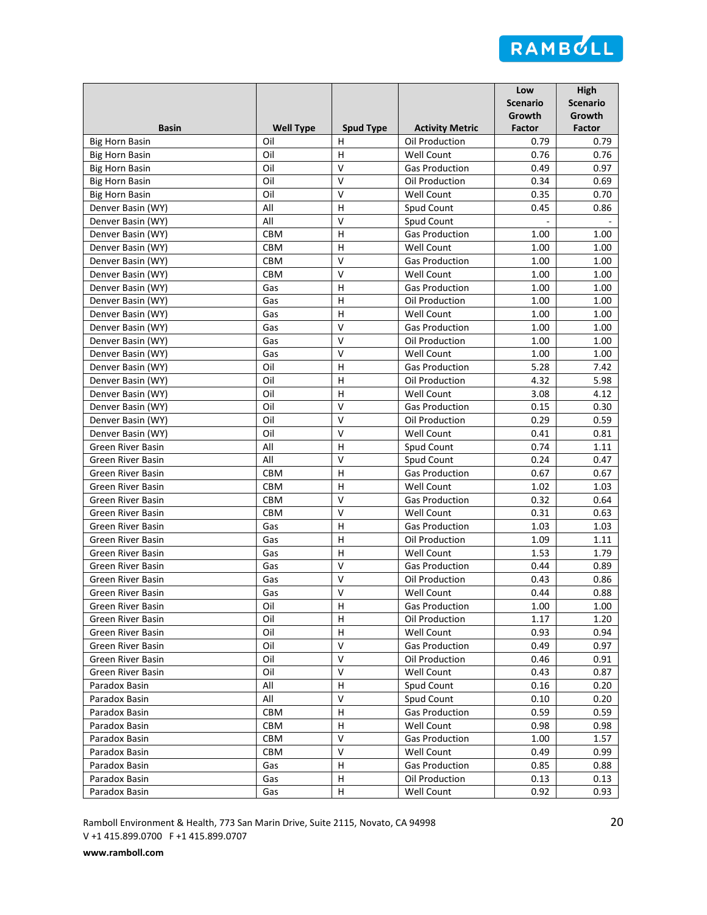

|                          |                  |                  |                                            | Low<br><b>Scenario</b><br>Growth | <b>High</b><br><b>Scenario</b><br>Growth |
|--------------------------|------------------|------------------|--------------------------------------------|----------------------------------|------------------------------------------|
| <b>Basin</b>             | <b>Well Type</b> | <b>Spud Type</b> | <b>Activity Metric</b>                     | <b>Factor</b>                    | Factor                                   |
| <b>Big Horn Basin</b>    | Oil<br>Oil       | н<br>н           | Oil Production                             | 0.79<br>0.76                     | 0.79<br>0.76                             |
| <b>Big Horn Basin</b>    | Oil              | v                | <b>Well Count</b><br><b>Gas Production</b> | 0.49                             | 0.97                                     |
| <b>Big Horn Basin</b>    |                  | $\mathsf{V}$     |                                            |                                  |                                          |
| <b>Big Horn Basin</b>    | Oil<br>Oil       | $\mathsf{V}$     | Oil Production<br><b>Well Count</b>        | 0.34<br>0.35                     | 0.69<br>0.70                             |
| <b>Big Horn Basin</b>    | All              | H                | Spud Count                                 |                                  | 0.86                                     |
| Denver Basin (WY)        | All              | $\vee$           |                                            | 0.45<br>$\sim$                   |                                          |
| Denver Basin (WY)        |                  |                  | Spud Count                                 |                                  |                                          |
| Denver Basin (WY)        | CBM              | H                | <b>Gas Production</b>                      | 1.00                             | 1.00                                     |
| Denver Basin (WY)        | CBM              | H<br>$\vee$      | <b>Well Count</b>                          | 1.00                             | 1.00                                     |
| Denver Basin (WY)        | CBM              |                  | <b>Gas Production</b>                      | 1.00                             | 1.00                                     |
| Denver Basin (WY)        | CBM              | $\mathsf{V}$     | Well Count                                 | 1.00                             | 1.00                                     |
| Denver Basin (WY)        | Gas              | H                | <b>Gas Production</b>                      | 1.00                             | 1.00                                     |
| Denver Basin (WY)        | Gas              | н                | Oil Production                             | 1.00                             | 1.00                                     |
| Denver Basin (WY)        | Gas              | н                | Well Count                                 | 1.00                             | 1.00                                     |
| Denver Basin (WY)        | Gas              | v                | <b>Gas Production</b>                      | 1.00                             | 1.00                                     |
| Denver Basin (WY)        | Gas              | $\mathsf{V}$     | Oil Production                             | 1.00                             | 1.00                                     |
| Denver Basin (WY)        | Gas              | $\sf V$          | <b>Well Count</b>                          | 1.00                             | 1.00                                     |
| Denver Basin (WY)        | Oil              | H                | <b>Gas Production</b>                      | 5.28                             | 7.42                                     |
| Denver Basin (WY)        | Oil              | H                | Oil Production                             | 4.32                             | 5.98                                     |
| Denver Basin (WY)        | Oil              | H                | Well Count                                 | 3.08                             | 4.12                                     |
| Denver Basin (WY)        | Oil              | $\vee$           | <b>Gas Production</b>                      | 0.15                             | 0.30                                     |
| Denver Basin (WY)        | Oil              | $\vee$           | Oil Production                             | 0.29                             | 0.59                                     |
| Denver Basin (WY)        | Oil              | $\vee$           | Well Count                                 | 0.41                             | 0.81                                     |
| Green River Basin        | All              | H                | Spud Count                                 | 0.74                             | 1.11                                     |
| Green River Basin        | All              | $\vee$           | Spud Count                                 | 0.24                             | 0.47                                     |
| Green River Basin        | CBM              | H                | <b>Gas Production</b>                      | 0.67                             | 0.67                                     |
| <b>Green River Basin</b> | CBM              | H                | <b>Well Count</b>                          | 1.02                             | 1.03                                     |
| Green River Basin        | CBM              | $\mathsf V$      | <b>Gas Production</b>                      | 0.32                             | 0.64                                     |
| Green River Basin        | <b>CBM</b>       | V                | <b>Well Count</b>                          | 0.31                             | 0.63                                     |
| Green River Basin        | Gas              | н                | <b>Gas Production</b>                      | 1.03                             | 1.03                                     |
| <b>Green River Basin</b> | Gas              | H                | Oil Production                             | 1.09                             | 1.11                                     |
| Green River Basin        | Gas              | H                | <b>Well Count</b>                          | 1.53                             | 1.79                                     |
| Green River Basin        | Gas              | $\vee$           | <b>Gas Production</b>                      | 0.44                             | 0.89                                     |
| Green River Basin        | Gas              | $\vee$           | Oil Production                             | 0.43                             | 0.86                                     |
| <b>Green River Basin</b> | Gas              | V                | Well Count                                 | 0.44                             | 0.88                                     |
| Green River Basin        | Oil              | н                | <b>Gas Production</b>                      | 1.00                             | 1.00                                     |
| Green River Basin        | Oil              | H                | Oil Production                             | 1.17                             | 1.20                                     |
| Green River Basin        | Oil              | н                | Well Count                                 | 0.93                             | 0.94                                     |
| Green River Basin        | Oil              | $\vee$           | <b>Gas Production</b>                      | 0.49                             | 0.97                                     |
| Green River Basin        | Oil              | V                | Oil Production                             | 0.46                             | 0.91                                     |
| Green River Basin        | Oil              | V                | Well Count                                 | 0.43                             | 0.87                                     |
| Paradox Basin            | All              | н                | Spud Count                                 | 0.16                             | 0.20                                     |
| Paradox Basin            | All              | v                | Spud Count                                 | 0.10                             | 0.20                                     |
| Paradox Basin            | CBM              | н                | <b>Gas Production</b>                      | 0.59                             | 0.59                                     |
| Paradox Basin            | CBM              | н                | Well Count                                 | 0.98                             | 0.98                                     |
| Paradox Basin            | CBM              | $\sf V$          | <b>Gas Production</b>                      | 1.00                             | 1.57                                     |
| Paradox Basin            | CBM              | $\vee$           | Well Count                                 | 0.49                             | 0.99                                     |
| Paradox Basin            | Gas              | H                | <b>Gas Production</b>                      | 0.85                             | 0.88                                     |
| Paradox Basin            | Gas              | H                | Oil Production                             | 0.13                             | 0.13                                     |
| Paradox Basin            | Gas              | н                | Well Count                                 | 0.92                             | 0.93                                     |

Ramboll Environment & Health, 773 San Marin Drive, Suite 2115, Novato, CA 94998 20 V +1 415.899.0700 F +1 415.899.0707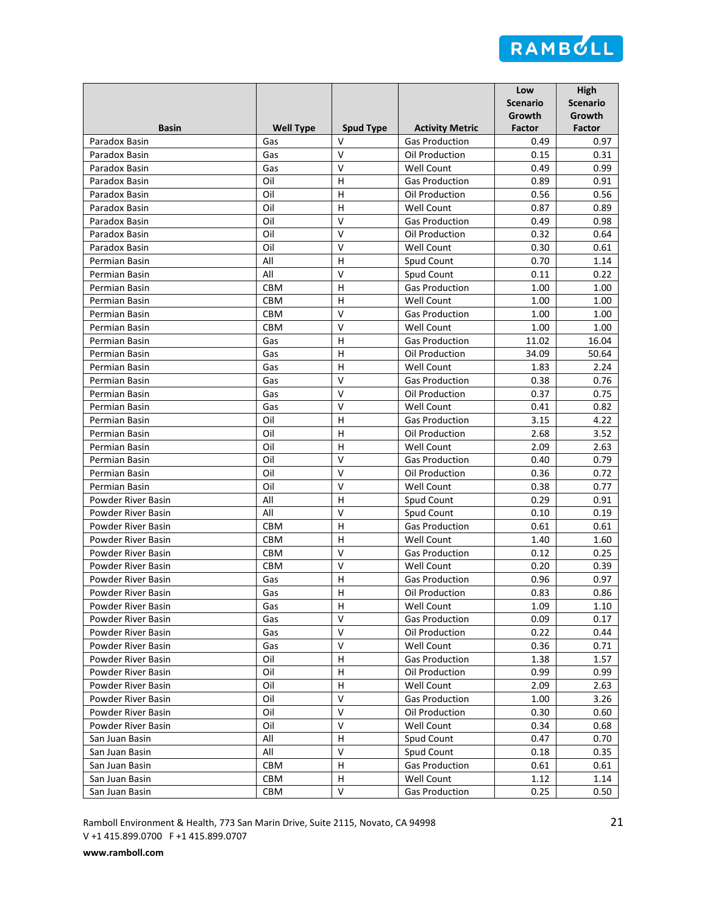

|                                |                  |                  |                                         | Low<br><b>Scenario</b><br>Growth | <b>High</b><br><b>Scenario</b><br>Growth |
|--------------------------------|------------------|------------------|-----------------------------------------|----------------------------------|------------------------------------------|
| <b>Basin</b>                   | <b>Well Type</b> | <b>Spud Type</b> | <b>Activity Metric</b>                  | <b>Factor</b>                    | Factor                                   |
| Paradox Basin                  | Gas              | $\vee$<br>$\vee$ | <b>Gas Production</b>                   | 0.49                             | 0.97                                     |
| Paradox Basin                  | Gas              |                  | Oil Production                          | 0.15                             | 0.31                                     |
| Paradox Basin                  | Gas              | v                | <b>Well Count</b>                       | 0.49                             | 0.99                                     |
| Paradox Basin                  | Oil              | н                | <b>Gas Production</b>                   | 0.89                             | 0.91                                     |
| Paradox Basin                  | Oil              | H                | Oil Production                          | 0.56                             | 0.56                                     |
| Paradox Basin                  | Oil              | H<br>$\vee$      | <b>Well Count</b>                       | 0.87                             | 0.89                                     |
| Paradox Basin                  | Oil              |                  | <b>Gas Production</b>                   | 0.49                             | 0.98                                     |
| Paradox Basin                  | Oil              | V                | Oil Production                          | 0.32                             | 0.64                                     |
| Paradox Basin                  | Oil              | v                | <b>Well Count</b>                       | 0.30                             | 0.61                                     |
| Permian Basin                  | All              | н                | Spud Count                              | 0.70                             | 1.14                                     |
| Permian Basin                  | All              | $\mathsf{V}$     | Spud Count                              | 0.11                             | 0.22                                     |
| Permian Basin                  | <b>CBM</b>       | H                | <b>Gas Production</b>                   | 1.00                             | 1.00                                     |
| Permian Basin                  | <b>CBM</b>       | н<br>v           | <b>Well Count</b>                       | 1.00                             | 1.00                                     |
| Permian Basin                  | CBM              |                  | <b>Gas Production</b>                   | 1.00                             | 1.00                                     |
| Permian Basin                  | CBM              | v                | Well Count<br><b>Gas Production</b>     | 1.00                             | 1.00                                     |
| Permian Basin                  | Gas              | H                | Oil Production                          | 11.02                            | 16.04                                    |
| Permian Basin                  | Gas<br>Gas       | н<br>H           | <b>Well Count</b>                       | 34.09                            | 50.64<br>2.24                            |
| Permian Basin                  |                  | $\mathsf{V}$     |                                         | 1.83                             |                                          |
| Permian Basin                  | Gas<br>Gas       | $\vee$           | <b>Gas Production</b><br>Oil Production | 0.38<br>0.37                     | 0.76                                     |
| Permian Basin<br>Permian Basin | Gas              | $\vee$           | <b>Well Count</b>                       | 0.41                             | 0.75<br>0.82                             |
| Permian Basin                  | Oil              | H                | <b>Gas Production</b>                   | 3.15                             | 4.22                                     |
| Permian Basin                  | Oil              | H                | Oil Production                          | 2.68                             | 3.52                                     |
| Permian Basin                  | Oil              | H                | <b>Well Count</b>                       | 2.09                             | 2.63                                     |
| Permian Basin                  | Oil              | $\vee$           | <b>Gas Production</b>                   | 0.40                             | 0.79                                     |
| Permian Basin                  | Oil              | $\vee$           | Oil Production                          | 0.36                             | 0.72                                     |
| Permian Basin                  | Oil              | $\mathsf{V}$     | Well Count                              | 0.38                             | 0.77                                     |
| Powder River Basin             | All              | H                | Spud Count                              | 0.29                             | 0.91                                     |
| Powder River Basin             | All              | V                | Spud Count                              | 0.10                             | 0.19                                     |
| Powder River Basin             | <b>CBM</b>       | н                | <b>Gas Production</b>                   | 0.61                             | 0.61                                     |
| Powder River Basin             | <b>CBM</b>       | H                | <b>Well Count</b>                       | 1.40                             | 1.60                                     |
| Powder River Basin             | CBM              | V                | <b>Gas Production</b>                   | 0.12                             | 0.25                                     |
| Powder River Basin             | CBM              | $\vee$           | Well Count                              | 0.20                             | 0.39                                     |
| Powder River Basin             | Gas              | Η                | <b>Gas Production</b>                   | 0.96                             | 0.97                                     |
| Powder River Basin             | Gas              | H                | Oil Production                          | 0.83                             | 0.86                                     |
| Powder River Basin             | Gas              | н                | Well Count                              | 1.09                             | 1.10                                     |
| Powder River Basin             | Gas              | $\vee$           | <b>Gas Production</b>                   | 0.09                             | 0.17                                     |
| Powder River Basin             | Gas              | v                | Oil Production                          | 0.22                             | 0.44                                     |
| Powder River Basin             | Gas              | $\vee$           | Well Count                              | 0.36                             | 0.71                                     |
| Powder River Basin             | Oil              | н                | <b>Gas Production</b>                   | 1.38                             | 1.57                                     |
| Powder River Basin             | Oil              | н                | Oil Production                          | 0.99                             | 0.99                                     |
| Powder River Basin             | Oil              | H                | Well Count                              | 2.09                             | 2.63                                     |
| Powder River Basin             | Oil              | V                | <b>Gas Production</b>                   | 1.00                             | 3.26                                     |
| Powder River Basin             | Oil              | V                | Oil Production                          | 0.30                             | 0.60                                     |
| Powder River Basin             | Oil              | V                | Well Count                              | 0.34                             | 0.68                                     |
| San Juan Basin                 | All              | н                | Spud Count                              | 0.47                             | 0.70                                     |
| San Juan Basin                 | All              | V                | Spud Count                              | 0.18                             | 0.35                                     |
| San Juan Basin                 | CBM              | H                | <b>Gas Production</b>                   | 0.61                             | 0.61                                     |
| San Juan Basin                 | CBM              | H                | Well Count                              | 1.12                             | 1.14                                     |
| San Juan Basin                 | CBM              | V                | <b>Gas Production</b>                   | 0.25                             | 0.50                                     |

Ramboll Environment & Health, 773 San Marin Drive, Suite 2115, Novato, CA 94998 21 V +1 415.899.0700 F +1 415.899.0707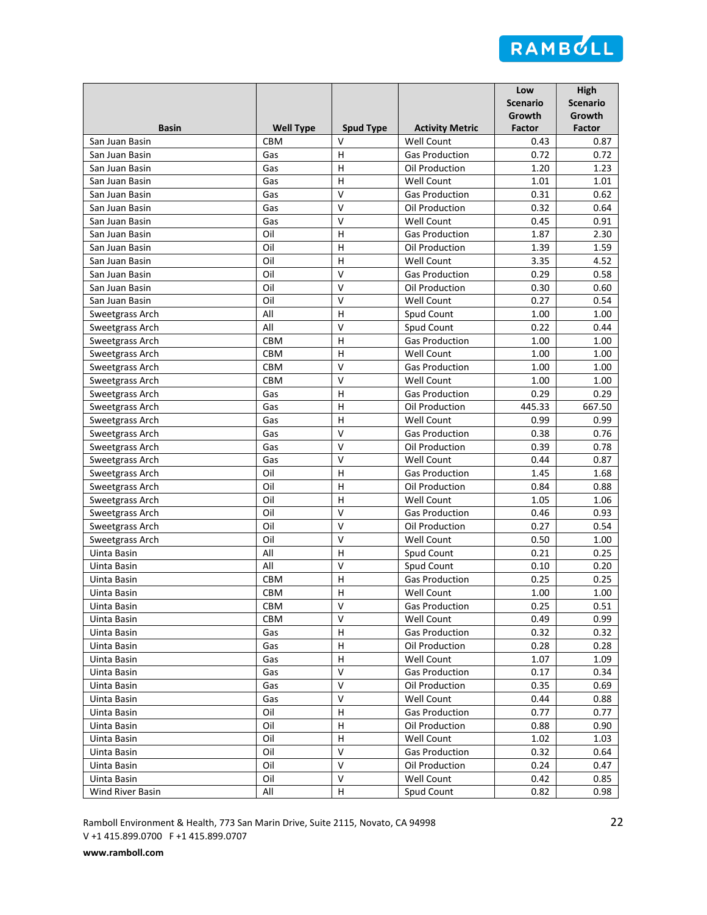

|                                    |                  |                   |                                            | Low<br><b>Scenario</b><br>Growth | <b>High</b><br><b>Scenario</b><br>Growth |
|------------------------------------|------------------|-------------------|--------------------------------------------|----------------------------------|------------------------------------------|
| <b>Basin</b>                       | <b>Well Type</b> | <b>Spud Type</b>  | <b>Activity Metric</b>                     | <b>Factor</b>                    | Factor                                   |
| San Juan Basin                     | <b>CBM</b>       | $\vee$            | Well Count                                 | 0.43                             | 0.87                                     |
| San Juan Basin                     | Gas              | н                 | <b>Gas Production</b>                      | 0.72                             | 0.72                                     |
| San Juan Basin                     | Gas              | H                 | Oil Production                             | 1.20                             | 1.23                                     |
| San Juan Basin                     | Gas              | H                 | Well Count                                 | 1.01                             | 1.01                                     |
| San Juan Basin                     | Gas              | V                 | <b>Gas Production</b>                      | 0.31                             | 0.62                                     |
| San Juan Basin                     | Gas              | V                 | Oil Production                             | 0.32                             | 0.64                                     |
| San Juan Basin                     | Gas              | $\vee$            | <b>Well Count</b>                          | 0.45                             | 0.91                                     |
| San Juan Basin                     | Oil              | H                 | <b>Gas Production</b>                      | 1.87                             | 2.30                                     |
| San Juan Basin                     | Oil              | H                 | Oil Production                             | 1.39                             | 1.59                                     |
| San Juan Basin                     | Oil              | H                 | <b>Well Count</b>                          | 3.35                             | 4.52                                     |
| San Juan Basin                     | Oil              | $\vee$<br>$\vee$  | <b>Gas Production</b>                      | 0.29                             | 0.58                                     |
| San Juan Basin                     | Oil              | $\vee$            | Oil Production                             | 0.30                             | 0.60                                     |
| San Juan Basin                     | Oil              |                   | <b>Well Count</b>                          | 0.27                             | 0.54                                     |
| Sweetgrass Arch                    | All              | H                 | Spud Count                                 | 1.00                             | 1.00                                     |
| Sweetgrass Arch                    | All              | $\vee$            | Spud Count                                 | 0.22                             | 0.44                                     |
| Sweetgrass Arch                    | CBM              | H                 | <b>Gas Production</b>                      | 1.00                             | 1.00                                     |
| Sweetgrass Arch                    | CBM              | H<br>$\mathsf{V}$ | <b>Well Count</b>                          | 1.00                             | 1.00                                     |
| Sweetgrass Arch                    | CBM              | $\vee$            | <b>Gas Production</b>                      | 1.00                             | 1.00                                     |
| Sweetgrass Arch                    | <b>CBM</b>       |                   | <b>Well Count</b>                          | 1.00                             | 1.00                                     |
| Sweetgrass Arch                    | Gas<br>Gas       | H<br>H            | <b>Gas Production</b><br>Oil Production    | 0.29<br>445.33                   | 0.29<br>667.50                           |
| Sweetgrass Arch                    | Gas              | H                 | <b>Well Count</b>                          | 0.99                             | 0.99                                     |
| Sweetgrass Arch                    |                  | $\vee$            | <b>Gas Production</b>                      | 0.38                             | 0.76                                     |
| Sweetgrass Arch                    | Gas<br>Gas       | $\vee$            | Oil Production                             | 0.39                             | 0.78                                     |
| Sweetgrass Arch                    | Gas              | $\vee$            |                                            | 0.44                             | 0.87                                     |
| Sweetgrass Arch                    | Oil              | H                 | <b>Well Count</b><br><b>Gas Production</b> | 1.45                             | 1.68                                     |
| Sweetgrass Arch                    | Oil              | H                 | Oil Production                             | 0.84                             | 0.88                                     |
| Sweetgrass Arch                    | Oil              | H                 | Well Count                                 | 1.05                             | 1.06                                     |
| Sweetgrass Arch                    | Oil              | ٧                 | <b>Gas Production</b>                      | 0.46                             | 0.93                                     |
| Sweetgrass Arch                    | Oil              | $\vee$            | Oil Production                             | 0.27                             | 0.54                                     |
| Sweetgrass Arch<br>Sweetgrass Arch | Oil              | $\vee$            | <b>Well Count</b>                          | 0.50                             | 1.00                                     |
| Uinta Basin                        | All              | H                 | Spud Count                                 | 0.21                             | 0.25                                     |
| Uinta Basin                        | All              | $\vee$            | Spud Count                                 | 0.10                             | 0.20                                     |
| Uinta Basin                        | CBM              | H                 | <b>Gas Production</b>                      | 0.25                             | 0.25                                     |
| Uinta Basin                        | <b>CBM</b>       | H                 | <b>Well Count</b>                          | 1.00                             | 1.00                                     |
| Uinta Basin                        | CBM              | V                 | <b>Gas Production</b>                      | 0.25                             | 0.51                                     |
| Uinta Basin                        | CBM              | V                 | Well Count                                 | 0.49                             | 0.99                                     |
| Uinta Basin                        | Gas              | н                 | <b>Gas Production</b>                      | 0.32                             | 0.32                                     |
| Uinta Basin                        | Gas              | н                 | Oil Production                             | 0.28                             | 0.28                                     |
| Uinta Basin                        | Gas              | н                 | Well Count                                 | 1.07                             | 1.09                                     |
| Uinta Basin                        | Gas              | V                 | <b>Gas Production</b>                      | 0.17                             | 0.34                                     |
| Uinta Basin                        | Gas              | v                 | Oil Production                             | 0.35                             | 0.69                                     |
| Uinta Basin                        | Gas              | $\vee$            | Well Count                                 | 0.44                             | 0.88                                     |
| Uinta Basin                        | Oil              |                   | <b>Gas Production</b>                      | 0.77                             | 0.77                                     |
| Uinta Basin                        | Oil              | н<br>н            | Oil Production                             | 0.88                             | 0.90                                     |
| Uinta Basin                        | Oil              | н                 | Well Count                                 | 1.02                             | 1.03                                     |
| Uinta Basin                        | Oil              | $\vee$            | <b>Gas Production</b>                      | 0.32                             | 0.64                                     |
| Uinta Basin                        | Oil              | V                 | Oil Production                             | 0.24                             | 0.47                                     |
| Uinta Basin                        | Oil              | V                 | Well Count                                 | 0.42                             | 0.85                                     |
| Wind River Basin                   | All              | н                 | Spud Count                                 | 0.82                             | 0.98                                     |

Ramboll Environment & Health, 773 San Marin Drive, Suite 2115, Novato, CA 94998 22 V +1 415.899.0700 F +1 415.899.0707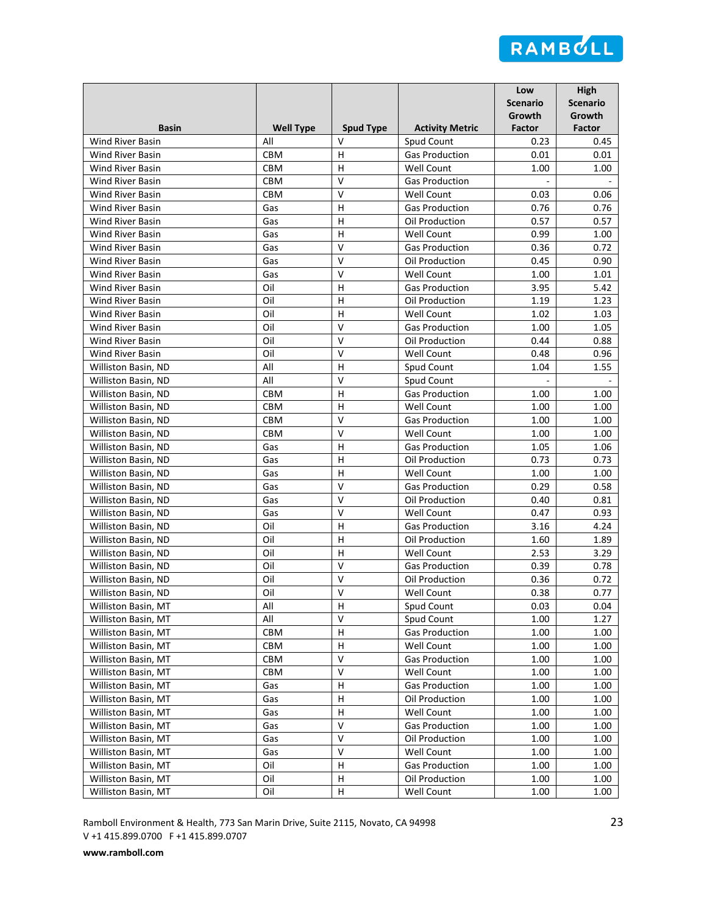

| <b>Basin</b>                               | <b>Well Type</b>         |                            |                                            | Low<br><b>Scenario</b><br>Growth | <b>High</b><br><b>Scenario</b><br>Growth |
|--------------------------------------------|--------------------------|----------------------------|--------------------------------------------|----------------------------------|------------------------------------------|
|                                            |                          | <b>Spud Type</b><br>$\vee$ | <b>Activity Metric</b>                     | Factor                           | Factor                                   |
| <b>Wind River Basin</b>                    | All<br>CBM               | н                          | Spud Count                                 | 0.23<br>0.01                     | 0.45<br>0.01                             |
| Wind River Basin<br>Wind River Basin       | <b>CBM</b>               |                            | <b>Gas Production</b><br><b>Well Count</b> | 1.00                             | 1.00                                     |
| Wind River Basin                           |                          | н<br>$\mathsf{V}$          |                                            | ä,                               |                                          |
| Wind River Basin                           | <b>CBM</b><br><b>CBM</b> | V                          | <b>Gas Production</b><br><b>Well Count</b> |                                  |                                          |
|                                            |                          | H                          | <b>Gas Production</b>                      | 0.03<br>0.76                     | 0.06<br>0.76                             |
| <b>Wind River Basin</b>                    | Gas                      | H                          |                                            |                                  |                                          |
| Wind River Basin                           | Gas<br>Gas               | H                          | Oil Production                             | 0.57                             | 0.57                                     |
| Wind River Basin<br>Wind River Basin       |                          | v                          | <b>Well Count</b>                          | 0.99<br>0.36                     | 1.00<br>0.72                             |
| Wind River Basin                           | Gas                      | $\vee$                     | <b>Gas Production</b>                      |                                  |                                          |
|                                            | Gas                      | $\mathsf{V}$               | Oil Production                             | 0.45<br>1.00                     | 0.90<br>1.01                             |
| Wind River Basin                           | Gas                      |                            | Well Count                                 |                                  |                                          |
| Wind River Basin                           | Oil                      | н                          | <b>Gas Production</b>                      | 3.95                             | 5.42                                     |
| Wind River Basin                           | Oil                      | н                          | Oil Production                             | 1.19                             | 1.23                                     |
| <b>Wind River Basin</b>                    | Oil                      | н                          | Well Count                                 | 1.02                             | 1.03                                     |
| Wind River Basin                           | Oil                      | v                          | <b>Gas Production</b>                      | 1.00                             | 1.05                                     |
| Wind River Basin                           | Oil                      | $\mathsf{V}$               | Oil Production                             | 0.44                             | 0.88                                     |
| Wind River Basin                           | Oil                      | $\sf V$                    | Well Count                                 | 0.48                             | 0.96                                     |
| Williston Basin, ND                        | All                      | H                          | Spud Count                                 | 1.04                             | 1.55                                     |
| Williston Basin, ND                        | All                      | $\vee$                     | Spud Count                                 |                                  |                                          |
| Williston Basin, ND                        | <b>CBM</b>               | H<br>H                     | <b>Gas Production</b>                      | 1.00                             | 1.00                                     |
| Williston Basin, ND                        | <b>CBM</b>               |                            | <b>Well Count</b>                          | 1.00                             | 1.00                                     |
| Williston Basin, ND                        | <b>CBM</b>               | $\mathsf{V}$               | <b>Gas Production</b>                      | 1.00                             | 1.00                                     |
| Williston Basin, ND                        | CBM                      | $\vee$<br>H                | <b>Well Count</b>                          | 1.00                             | 1.00                                     |
| Williston Basin, ND                        | Gas                      |                            | <b>Gas Production</b>                      | 1.05                             | 1.06                                     |
| Williston Basin, ND                        | Gas                      | н                          | Oil Production                             | 0.73<br>1.00                     | 0.73<br>1.00                             |
| Williston Basin, ND<br>Williston Basin, ND | Gas                      | н<br>$\mathsf{V}$          | <b>Well Count</b><br><b>Gas Production</b> | 0.29                             | 0.58                                     |
| Williston Basin, ND                        | Gas<br>Gas               | V                          | Oil Production                             | 0.40                             | 0.81                                     |
| Williston Basin, ND                        | Gas                      | V                          | Well Count                                 | 0.47                             | 0.93                                     |
| Williston Basin, ND                        | Oil                      | н                          | <b>Gas Production</b>                      | 3.16                             | 4.24                                     |
| Williston Basin, ND                        | Oil                      | H                          | Oil Production                             | 1.60                             | 1.89                                     |
| Williston Basin, ND                        | Oil                      | H                          | <b>Well Count</b>                          | 2.53                             | 3.29                                     |
| Williston Basin, ND                        | Oil                      | $\vee$                     | <b>Gas Production</b>                      | 0.39                             | 0.78                                     |
| Williston Basin, ND                        | Oil                      | $\vee$                     | Oil Production                             | 0.36                             | 0.72                                     |
| Williston Basin, ND                        | Oil                      | V                          | Well Count                                 | 0.38                             | 0.77                                     |
| Williston Basin, MT                        | All                      | н                          | Spud Count                                 | 0.03                             | 0.04                                     |
| Williston Basin, MT                        | All                      | $\vee$                     | Spud Count                                 | 1.00                             | 1.27                                     |
| Williston Basin, MT                        | CBM                      | н                          | <b>Gas Production</b>                      | 1.00                             | 1.00                                     |
| Williston Basin, MT                        | CBM                      | Н                          | Well Count                                 | 1.00                             | 1.00                                     |
| Williston Basin, MT                        | CBM                      | V                          | <b>Gas Production</b>                      | 1.00                             | 1.00                                     |
| Williston Basin, MT                        | CBM                      | V                          | Well Count                                 | 1.00                             | 1.00                                     |
| Williston Basin, MT                        | Gas                      | н                          | <b>Gas Production</b>                      | 1.00                             | 1.00                                     |
| Williston Basin, MT                        | Gas                      | н                          | Oil Production                             | 1.00                             | 1.00                                     |
| Williston Basin, MT                        | Gas                      | н                          | Well Count                                 | 1.00                             | 1.00                                     |
| Williston Basin, MT                        | Gas                      | $\vee$                     | <b>Gas Production</b>                      | 1.00                             | 1.00                                     |
| Williston Basin, MT                        | Gas                      | $\mathsf{V}$               | Oil Production                             | 1.00                             | 1.00                                     |
| Williston Basin, MT                        | Gas                      | $\vee$                     | Well Count                                 | 1.00                             | 1.00                                     |
| Williston Basin, MT                        | Oil                      | н                          | <b>Gas Production</b>                      | 1.00                             | 1.00                                     |
| Williston Basin, MT                        | Oil                      | H                          | Oil Production                             | $1.00\,$                         | 1.00                                     |
| Williston Basin, MT                        | Oil                      | н                          | Well Count                                 | 1.00                             | 1.00                                     |

Ramboll Environment & Health, 773 San Marin Drive, Suite 2115, Novato, CA 94998 23 V +1 415.899.0700 F +1 415.899.0707